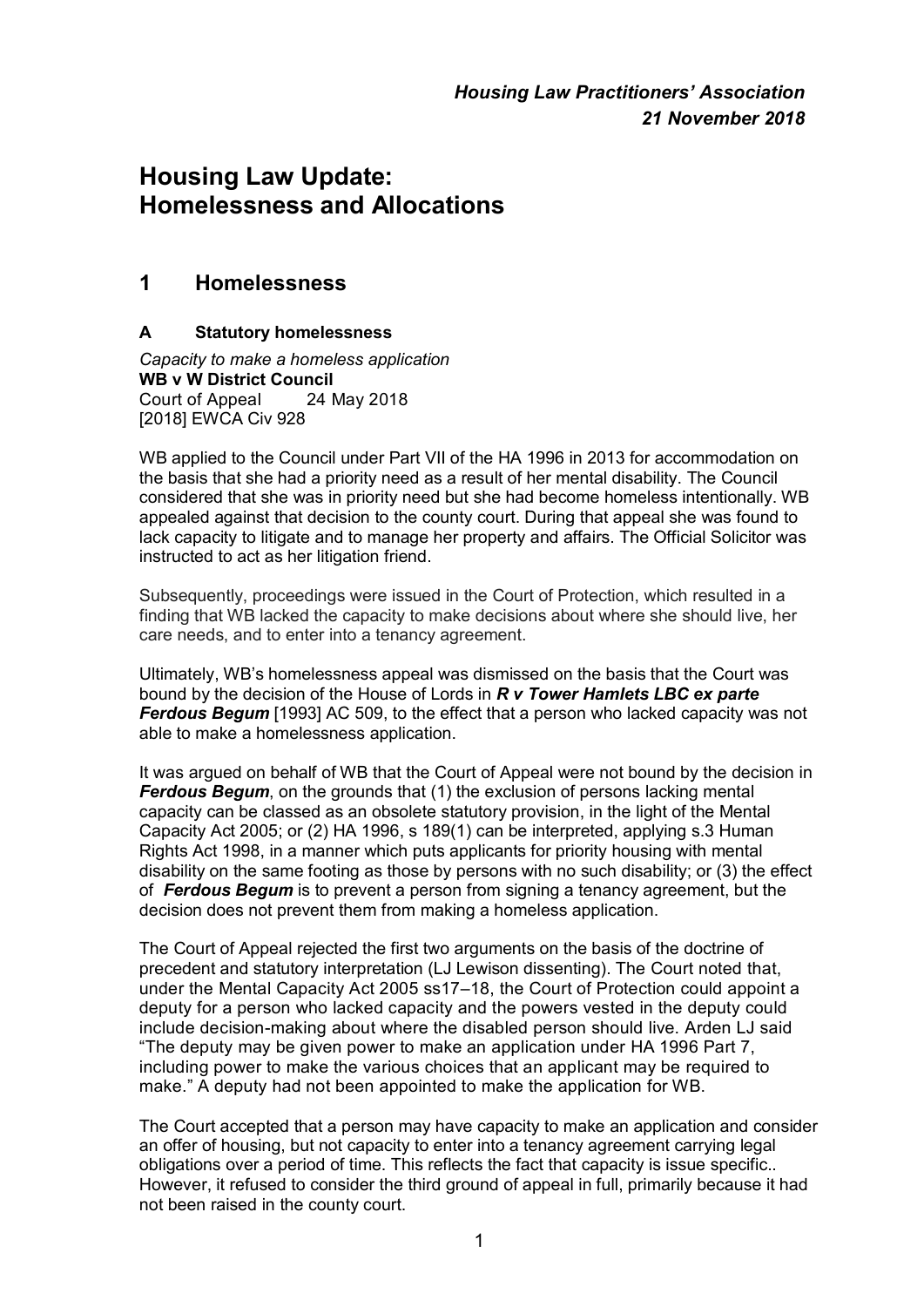# **Housing Law Update: Homelessness and Allocations**

# **1 Homelessness**

# **A Statutory homelessness**

*Capacity to make a homeless application* **WB v W District Council**<br>Court of Appeal 24 May 2018 Court of Appeal [2018] EWCA Civ 928

WB applied to the Council under Part VII of the HA 1996 in 2013 for accommodation on the basis that she had a priority need as a result of her mental disability. The Council considered that she was in priority need but she had become homeless intentionally. WB appealed against that decision to the county court. During that appeal she was found to lack capacity to litigate and to manage her property and affairs. The Official Solicitor was instructed to act as her litigation friend.

Subsequently, proceedings were issued in the Court of Protection, which resulted in a finding that WB lacked the capacity to make decisions about where she should live, her care needs, and to enter into a tenancy agreement.

Ultimately, WB's homelessness appeal was dismissed on the basis that the Court was bound by the decision of the House of Lords in *R v Tower Hamlets LBC ex parte Ferdous Begum* [1993] AC 509, to the effect that a person who lacked capacity was not able to make a homelessness application.

It was argued on behalf of WB that the Court of Appeal were not bound by the decision in *Ferdous Begum*, on the grounds that (1) the exclusion of persons lacking mental capacity can be classed as an obsolete statutory provision, in the light of the Mental Capacity Act 2005; or (2) HA 1996, s 189(1) can be interpreted, applying s.3 Human Rights Act 1998, in a manner which puts applicants for priority housing with mental disability on the same footing as those by persons with no such disability; or (3) the effect of *Ferdous Begum* is to prevent a person from signing a tenancy agreement, but the decision does not prevent them from making a homeless application.

The Court of Appeal rejected the first two arguments on the basis of the doctrine of precedent and statutory interpretation (LJ Lewison dissenting). The Court noted that, under the Mental Capacity Act 2005 ss17–18, the Court of Protection could appoint a deputy for a person who lacked capacity and the powers vested in the deputy could include decision-making about where the disabled person should live. Arden LJ said "The deputy may be given power to make an application under HA 1996 Part 7, including power to make the various choices that an applicant may be required to make." A deputy had not been appointed to make the application for WB.

The Court accepted that a person may have capacity to make an application and consider an offer of housing, but not capacity to enter into a tenancy agreement carrying legal obligations over a period of time. This reflects the fact that capacity is issue specific.. However, it refused to consider the third ground of appeal in full, primarily because it had not been raised in the county court.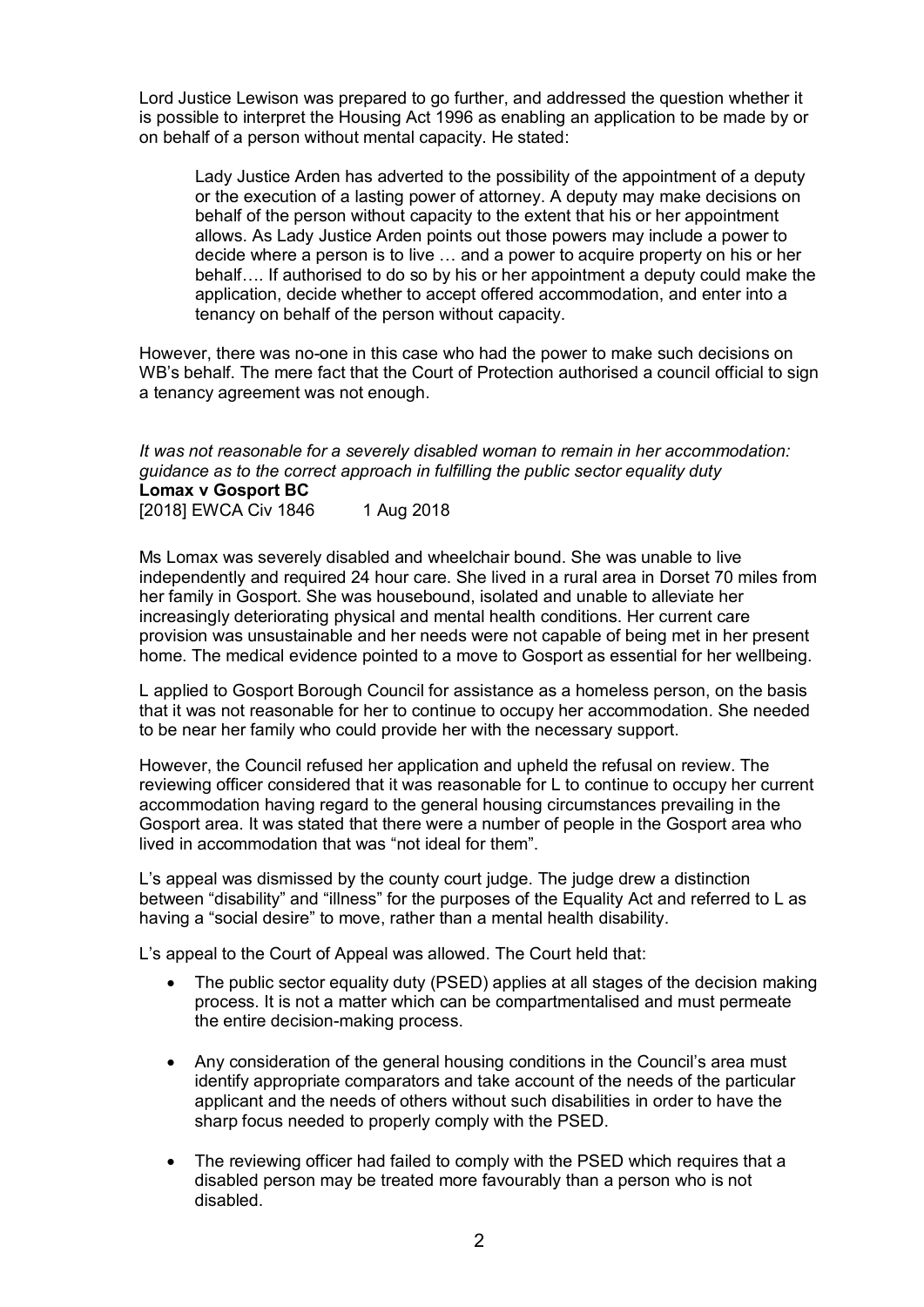Lord Justice Lewison was prepared to go further, and addressed the question whether it is possible to interpret the Housing Act 1996 as enabling an application to be made by or on behalf of a person without mental capacity. He stated:

Lady Justice Arden has adverted to the possibility of the appointment of a deputy or the execution of a lasting power of attorney. A deputy may make decisions on behalf of the person without capacity to the extent that his or her appointment allows. As Lady Justice Arden points out those powers may include a power to decide where a person is to live … and a power to acquire property on his or her behalf…. If authorised to do so by his or her appointment a deputy could make the application, decide whether to accept offered accommodation, and enter into a tenancy on behalf of the person without capacity.

However, there was no-one in this case who had the power to make such decisions on WB's behalf. The mere fact that the Court of Protection authorised a council official to sign a tenancy agreement was not enough.

#### *It was not reasonable for a severely disabled woman to remain in her accommodation: guidance as to the correct approach in fulfilling the public sector equality duty* **Lomax v Gosport BC** [2018] EWCA Civ 1846 1 Aug 2018

Ms Lomax was severely disabled and wheelchair bound. She was unable to live independently and required 24 hour care. She lived in a rural area in Dorset 70 miles from her family in Gosport. She was housebound, isolated and unable to alleviate her increasingly deteriorating physical and mental health conditions. Her current care provision was unsustainable and her needs were not capable of being met in her present home. The medical evidence pointed to a move to Gosport as essential for her wellbeing.

L applied to Gosport Borough Council for assistance as a homeless person, on the basis that it was not reasonable for her to continue to occupy her accommodation. She needed to be near her family who could provide her with the necessary support.

However, the Council refused her application and upheld the refusal on review. The reviewing officer considered that it was reasonable for L to continue to occupy her current accommodation having regard to the general housing circumstances prevailing in the Gosport area. It was stated that there were a number of people in the Gosport area who lived in accommodation that was "not ideal for them".

L's appeal was dismissed by the county court judge. The judge drew a distinction between "disability" and "illness" for the purposes of the Equality Act and referred to L as having a "social desire" to move, rather than a mental health disability.

L's appeal to the Court of Appeal was allowed. The Court held that:

- The public sector equality duty (PSED) applies at all stages of the decision making process. It is not a matter which can be compartmentalised and must permeate the entire decision-making process.
- Any consideration of the general housing conditions in the Council's area must identify appropriate comparators and take account of the needs of the particular applicant and the needs of others without such disabilities in order to have the sharp focus needed to properly comply with the PSED.
- The reviewing officer had failed to comply with the PSED which requires that a disabled person may be treated more favourably than a person who is not disabled.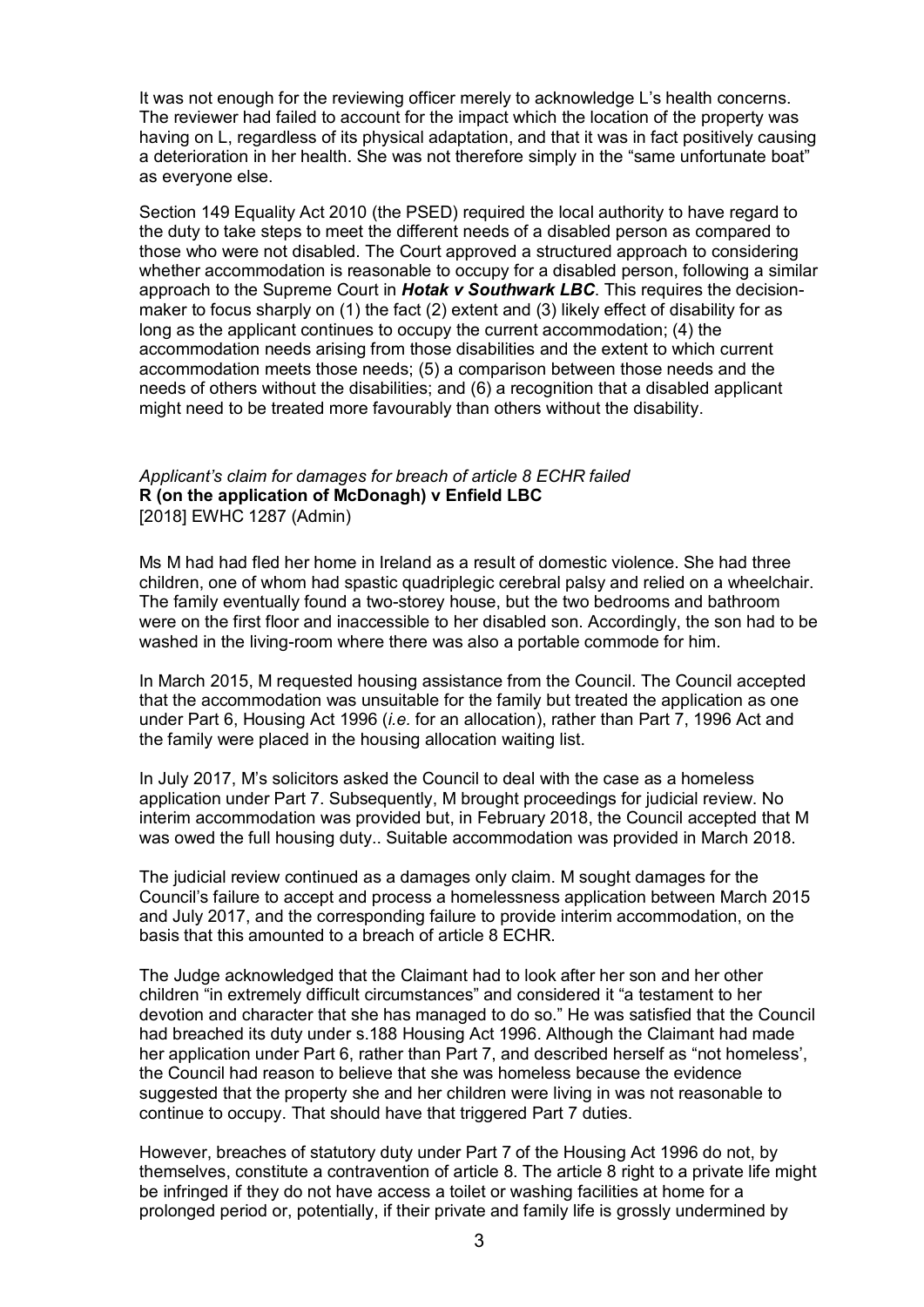It was not enough for the reviewing officer merely to acknowledge L's health concerns. The reviewer had failed to account for the impact which the location of the property was having on L, regardless of its physical adaptation, and that it was in fact positively causing a deterioration in her health. She was not therefore simply in the "same unfortunate boat" as everyone else.

Section 149 Equality Act 2010 (the PSED) required the local authority to have regard to the duty to take steps to meet the different needs of a disabled person as compared to those who were not disabled. The Court approved a structured approach to considering whether accommodation is reasonable to occupy for a disabled person, following a similar approach to the Supreme Court in *Hotak v Southwark LBC*. This requires the decisionmaker to focus sharply on (1) the fact (2) extent and (3) likely effect of disability for as long as the applicant continues to occupy the current accommodation; (4) the accommodation needs arising from those disabilities and the extent to which current accommodation meets those needs; (5) a comparison between those needs and the needs of others without the disabilities; and (6) a recognition that a disabled applicant might need to be treated more favourably than others without the disability.

#### *Applicant's claim for damages for breach of article 8 ECHR failed* **[R \(on the application of McDonagh\) v Enfield LBC](http://www.bailii.org/ew/cases/EWHC/Admin/2018/1287.html)** [2018] EWHC 1287 (Admin)

Ms M had had fled her home in Ireland as a result of domestic violence. She had three children, one of whom had spastic quadriplegic cerebral palsy and relied on a wheelchair. The family eventually found a two-storey house, but the two bedrooms and bathroom were on the first floor and inaccessible to her disabled son. Accordingly, the son had to be washed in the living-room where there was also a portable commode for him.

In March 2015, M requested housing assistance from the Council. The Council accepted that the accommodation was unsuitable for the family but treated the application as one under Part 6, Housing Act 1996 (*i.e.* for an allocation), rather than Part 7, 1996 Act and the family were placed in the housing allocation waiting list.

In July 2017, M's solicitors asked the Council to deal with the case as a homeless application under Part 7. Subsequently, M brought proceedings for judicial review. No interim accommodation was provided but, in February 2018, the Council accepted that M was owed the full housing duty.. Suitable accommodation was provided in March 2018.

The judicial review continued as a damages only claim. M sought damages for the Council's failure to accept and process a homelessness application between March 2015 and July 2017, and the corresponding failure to provide interim accommodation, on the basis that this amounted to a breach of article 8 ECHR.

The Judge acknowledged that the Claimant had to look after her son and her other children "in extremely difficult circumstances" and considered it "a testament to her devotion and character that she has managed to do so." He was satisfied that the Council had breached its duty under s.188 Housing Act 1996. Although the Claimant had made her application under Part 6, rather than Part 7, and described herself as "not homeless'. the Council had reason to believe that she was homeless because the evidence suggested that the property she and her children were living in was not reasonable to continue to occupy. That should have that triggered Part 7 duties.

However, breaches of statutory duty under Part 7 of the Housing Act 1996 do not, by themselves, constitute a contravention of article 8. The article 8 right to a private life might be infringed if they do not have access a toilet or washing facilities at home for a prolonged period or, potentially, if their private and family life is grossly undermined by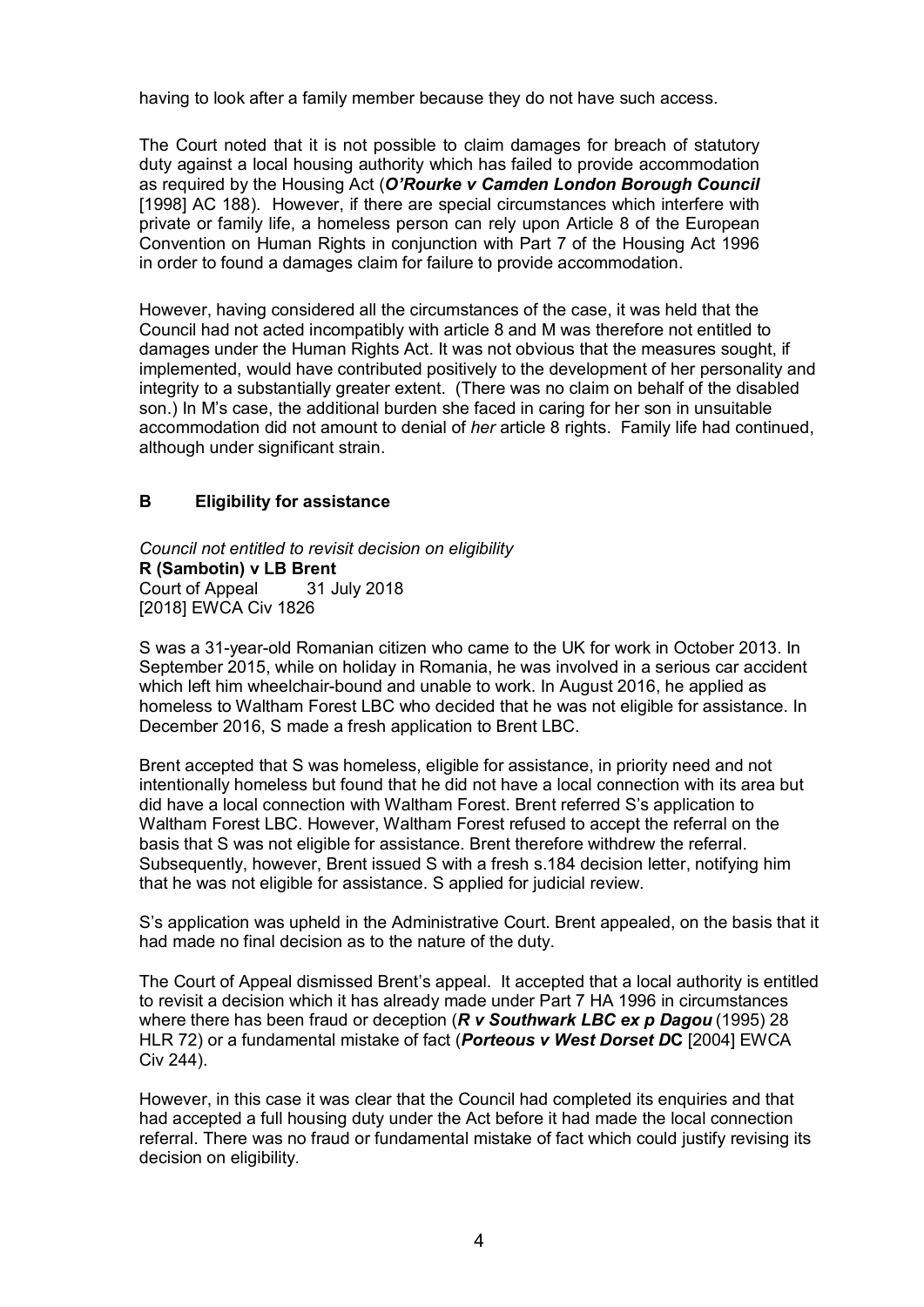having to look after a family member because they do not have such access.

The Court noted that it is not possible to claim damages for breach of statutory duty against a local housing authority which has failed to provide accommodation as required by the Housing Act (*O'Rourke v Camden London Borough Council* [1998] AC 188). However, if there are special circumstances which interfere with private or family life, a homeless person can rely upon Article 8 of the European Convention on Human Rights in conjunction with Part 7 of the Housing Act 1996 in order to found a damages claim for failure to provide accommodation.

However, having considered all the circumstances of the case, it was held that the Council had not acted incompatibly with article 8 and M was therefore not entitled to damages under the Human Rights Act. It was not obvious that the measures sought, if implemented, would have contributed positively to the development of her personality and integrity to a substantially greater extent. (There was no claim on behalf of the disabled son.) In M's case, the additional burden she faced in caring for her son in unsuitable accommodation did not amount to denial of *her* article 8 rights. Family life had continued, although under significant strain.

# **B Eligibility for assistance**

*Council not entitled to revisit decision on eligibility* **R (Sambotin) v LB Brent** Court of Appeal 31 July 2018 [2018] EWCA Civ 1826

S was a 31-year-old Romanian citizen who came to the UK for work in October 2013. In September 2015, while on holiday in Romania, he was involved in a serious car accident which left him wheelchair-bound and unable to work. In August 2016, he applied as homeless to Waltham Forest LBC who decided that he was not eligible for assistance. In December 2016, S made a fresh application to Brent LBC.

Brent accepted that S was homeless, eligible for assistance, in priority need and not intentionally homeless but found that he did not have a local connection with its area but did have a local connection with Waltham Forest. Brent referred S's application to Waltham Forest LBC. However, Waltham Forest refused to accept the referral on the basis that S was not eligible for assistance. Brent therefore withdrew the referral. Subsequently, however, Brent issued S with a fresh s.184 decision letter, notifying him that he was not eligible for assistance. S applied for judicial review.

S's application was upheld in the Administrative Court. Brent appealed, on the basis that it had made no final decision as to the nature of the duty.

The Court of Appeal dismissed Brent's appeal. It accepted that a local authority is entitled to revisit a decision which it has already made under Part 7 HA 1996 in circumstances where there has been fraud or deception (*R v Southwark LBC ex p Dagou* (1995) 28 HLR 72) or a fundamental mistake of fact (*Porteous v West Dorset D***C** [2004] EWCA Civ 244).

However, in this case it was clear that the Council had completed its enquiries and that had accepted a full housing duty under the Act before it had made the local connection referral. There was no fraud or fundamental mistake of fact which could justify revising its decision on eligibility.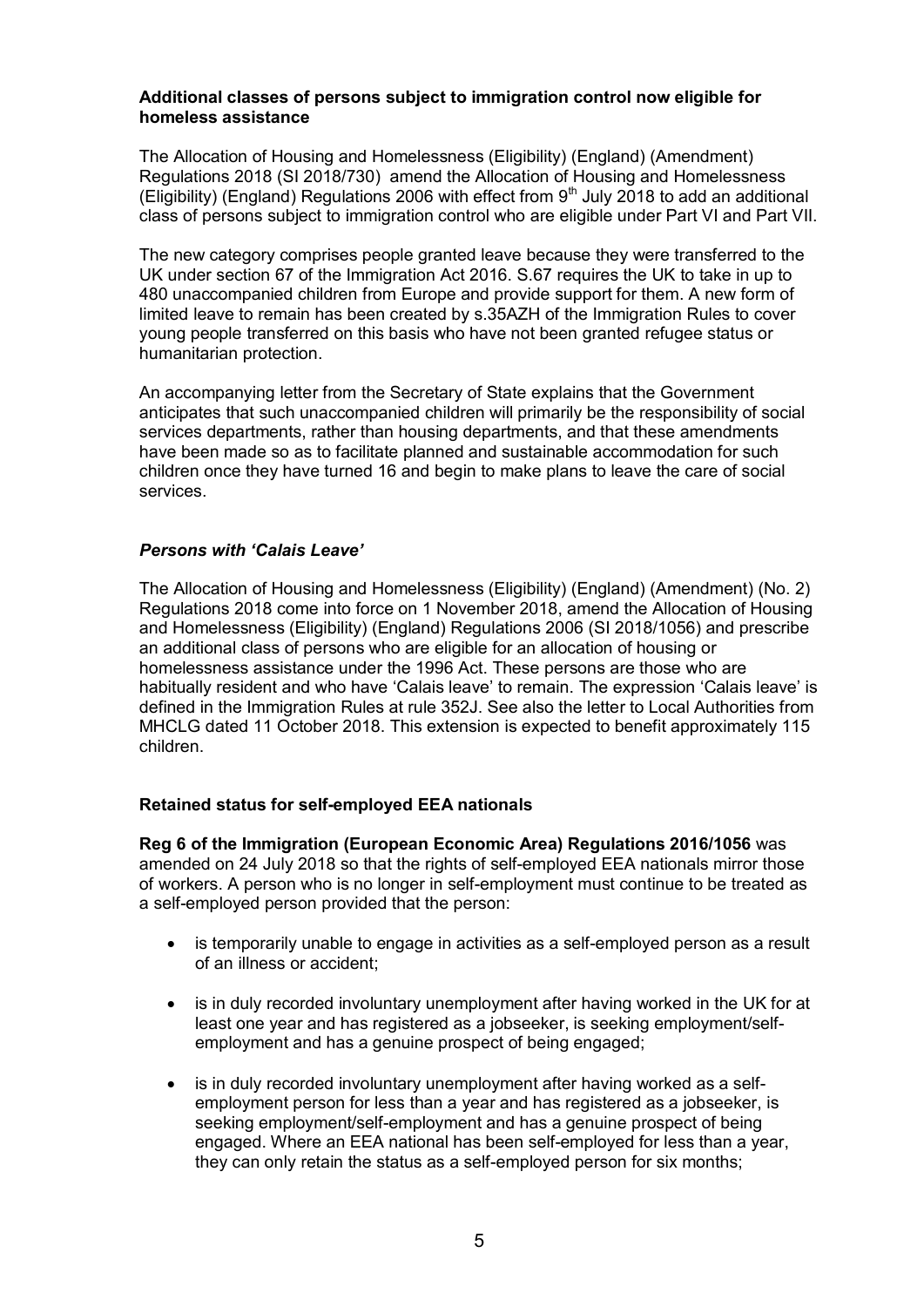### **Additional classes of persons subject to immigration control now eligible for homeless assistance**

The [Allocation of Housing and Homelessness \(Eligibility\) \(England\) \(Amendment\)](http://www.legislation.gov.uk/uksi/2018/730/regulation/2/made)  [Regulations 2018](http://www.legislation.gov.uk/uksi/2018/730/regulation/2/made) (SI 2018/730) amend the Allocation of Housing and Homelessness (Eligibility) (England) Regulations 2006 with effect from  $9<sup>th</sup>$  July 2018 to add an additional class of persons subject to immigration control who are eligible under Part VI and Part VII.

The new category comprises people granted leave because they were transferred to the UK under section 67 of the Immigration Act 2016. S.67 requires the UK to take in up to 480 unaccompanied children from Europe and provide support for them. A new form of limited leave to remain has been created by s.35AZH of the Immigration Rules to cover young people transferred on this basis who have not been granted refugee status or humanitarian protection.

An accompanying letter from the Secretary of State explains that the Government anticipates that such unaccompanied children will primarily be the responsibility of social services departments, rather than housing departments, and that these amendments have been made so as to facilitate planned and sustainable accommodation for such children once they have turned 16 and begin to make plans to leave the care of social services.

### *Persons with 'Calais Leave'*

The [Allocation of Housing and Homelessness \(Eligibility\) \(England\) \(Amendment\) \(No. 2\)](http://www.legislation.gov.uk/uksi/2018/1056/contents/made)  [Regulations 2018](http://www.legislation.gov.uk/uksi/2018/1056/contents/made) come into force on 1 November 2018, amend the Allocation of Housing and Homelessness (Eligibility) (England) Regulations 2006 (SI 2018/1056) and prescribe an additional class of persons who are eligible for an allocation of housing or homelessness assistance under the 1996 Act. These persons are those who are habitually resident and who have 'Calais leave' to remain. The expression 'Calais leave' is defined in the Immigration Rules at rule 352J. See also the letter to Local Authorities from MHCLG dated 11 October 2018. This extension is expected to benefit approximately 115 children.

# **Retained status for self-employed EEA nationals**

**Reg 6 of the Immigration (European Economic Area) Regulations 2016/1056** was amended on 24 July 2018 so that the rights of self-employed EEA nationals mirror those of workers. A person who is no longer in self-employment must continue to be treated as a self-employed person provided that the person:

- is temporarily unable to engage in activities as a self-employed person as a result of an illness or accident;
- is in duly recorded involuntary unemployment after having worked in the UK for at least one year and has registered as a jobseeker, is seeking employment/selfemployment and has a genuine prospect of being engaged;
- is in duly recorded involuntary unemployment after having worked as a selfemployment person for less than a year and has registered as a jobseeker, is seeking employment/self-employment and has a genuine prospect of being engaged. Where an EEA national has been self-employed for less than a year, they can only retain the status as a self-employed person for six months;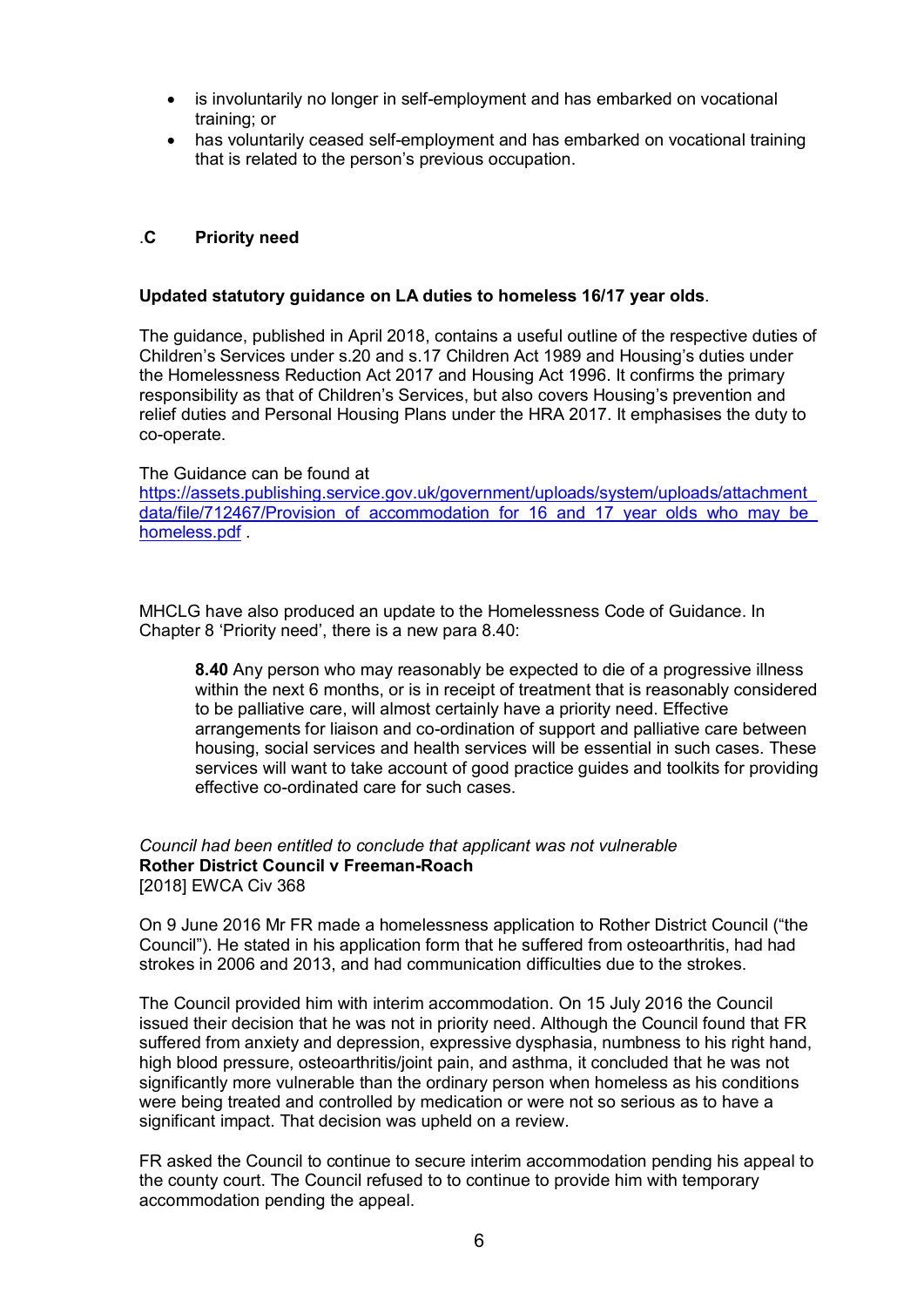- is involuntarily no longer in self-employment and has embarked on vocational training; or
- has voluntarily ceased self-employment and has embarked on vocational training that is related to the person's previous occupation.

## .**C Priority need**

#### **Updated statutory guidance on LA duties to homeless 16/17 year olds**.

The guidance, published in April 2018, contains a useful outline of the respective duties of Children's Services under s.20 and s.17 Children Act 1989 and Housing's duties under the Homelessness Reduction Act 2017 and Housing Act 1996. It confirms the primary responsibility as that of Children's Services, but also covers Housing's prevention and relief duties and Personal Housing Plans under the HRA 2017. It emphasises the duty to co-operate.

#### The Guidance can be found at

https://assets.publishing.service.gov.uk/government/uploads/system/uploads/attachment\_ data/file/712467/Provision of accommodation for 16 and 17 year olds who may be homeless.pdf .

MHCLG have also produced an update to the Homelessness Code of Guidance. In Chapter 8 'Priority need', there is a new para 8.40:

**8.40** Any person who may reasonably be expected to die of a progressive illness within the next 6 months, or is in receipt of treatment that is reasonably considered to be palliative care, will almost certainly have a priority need. Effective arrangements for liaison and co-ordination of support and palliative care between housing, social services and health services will be essential in such cases. These services will want to take account of good practice guides and toolkits for providing effective co-ordinated care for such cases.

### *Council had been entitled to conclude that applicant was not vulnerable*  **Rother District Council v Freeman-Roach** [2018] EWCA Civ 368

On 9 June 2016 Mr FR made a homelessness application to Rother District Council ("the Council"). He stated in his application form that he suffered from osteoarthritis, had had strokes in 2006 and 2013, and had communication difficulties due to the strokes.

The Council provided him with interim accommodation. On 15 July 2016 the Council issued their decision that he was not in priority need. Although the Council found that FR suffered from anxiety and depression, expressive dysphasia, numbness to his right hand, high blood pressure, osteoarthritis/joint pain, and asthma, it concluded that he was not significantly more vulnerable than the ordinary person when homeless as his conditions were being treated and controlled by medication or were not so serious as to have a significant impact. That decision was upheld on a review.

FR asked the Council to continue to secure interim accommodation pending his appeal to the county court. The Council refused to to continue to provide him with temporary accommodation pending the appeal.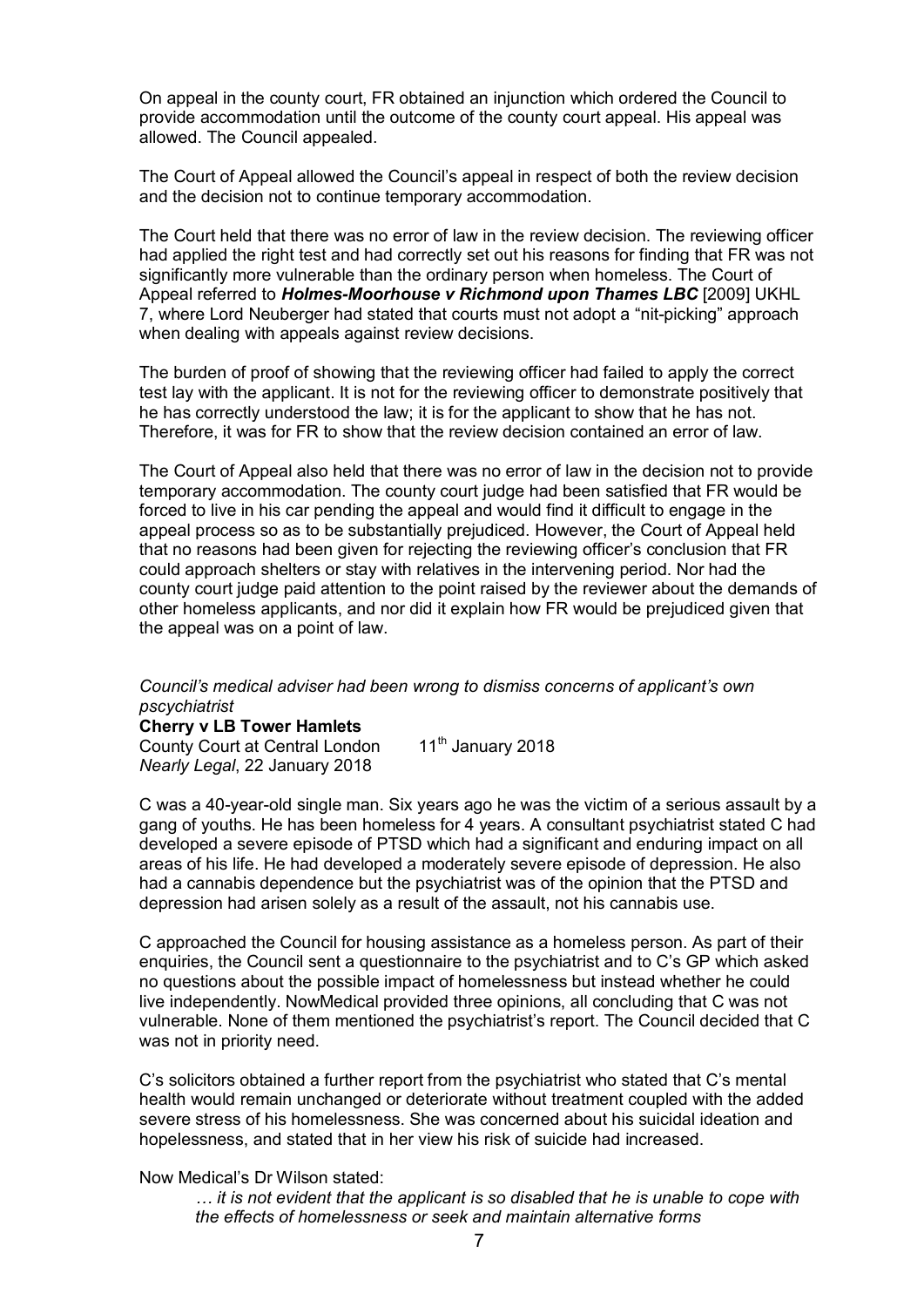On appeal in the county court, FR obtained an injunction which ordered the Council to provide accommodation until the outcome of the county court appeal. His appeal was allowed. The Council appealed.

The Court of Appeal allowed the Council's appeal in respect of both the review decision and the decision not to continue temporary accommodation.

The Court held that there was no error of law in the review decision. The reviewing officer had applied the right test and had correctly set out his reasons for finding that FR was not significantly more vulnerable than the ordinary person when homeless. The Court of Appeal referred to *Holmes-Moorhouse v Richmond upon Thames LBC* [2009] UKHL 7, where Lord Neuberger had stated that courts must not adopt a "nit-picking" approach when dealing with appeals against review decisions.

The burden of proof of showing that the reviewing officer had failed to apply the correct test lay with the applicant. It is not for the reviewing officer to demonstrate positively that he has correctly understood the law; it is for the applicant to show that he has not. Therefore, it was for FR to show that the review decision contained an error of law.

The Court of Appeal also held that there was no error of law in the decision not to provide temporary accommodation. The county court judge had been satisfied that FR would be forced to live in his car pending the appeal and would find it difficult to engage in the appeal process so as to be substantially prejudiced. However, the Court of Appeal held that no reasons had been given for rejecting the reviewing officer's conclusion that FR could approach shelters or stay with relatives in the intervening period. Nor had the county court judge paid attention to the point raised by the reviewer about the demands of other homeless applicants, and nor did it explain how FR would be prejudiced given that the appeal was on a point of law.

*Council's medical adviser had been wrong to dismiss concerns of applicant's own pscychiatrist*

#### **Cherry v LB Tower Hamlets**

County Court at Central London 11<sup>th</sup> January 2018 *Nearly Legal*, 22 January 2018

C was a 40-year-old single man. Six years ago he was the victim of a serious assault by a gang of youths. He has been homeless for 4 years. A consultant psychiatrist stated C had developed a severe episode of PTSD which had a significant and enduring impact on all areas of his life. He had developed a moderately severe episode of depression. He also had a cannabis dependence but the psychiatrist was of the opinion that the PTSD and depression had arisen solely as a result of the assault, not his cannabis use.

C approached the Council for housing assistance as a homeless person. As part of their enquiries, the Council sent a questionnaire to the psychiatrist and to C's GP which asked no questions about the possible impact of homelessness but instead whether he could live independently. NowMedical provided three opinions, all concluding that C was not vulnerable. None of them mentioned the psychiatrist's report. The Council decided that C was not in priority need.

C's solicitors obtained a further report from the psychiatrist who stated that C's mental health would remain unchanged or deteriorate without treatment coupled with the added severe stress of his homelessness. She was concerned about his suicidal ideation and hopelessness, and stated that in her view his risk of suicide had increased.

Now Medical's Dr Wilson stated:

*… it is not evident that the applicant is so disabled that he is unable to cope with the effects of homelessness or seek and maintain alternative forms*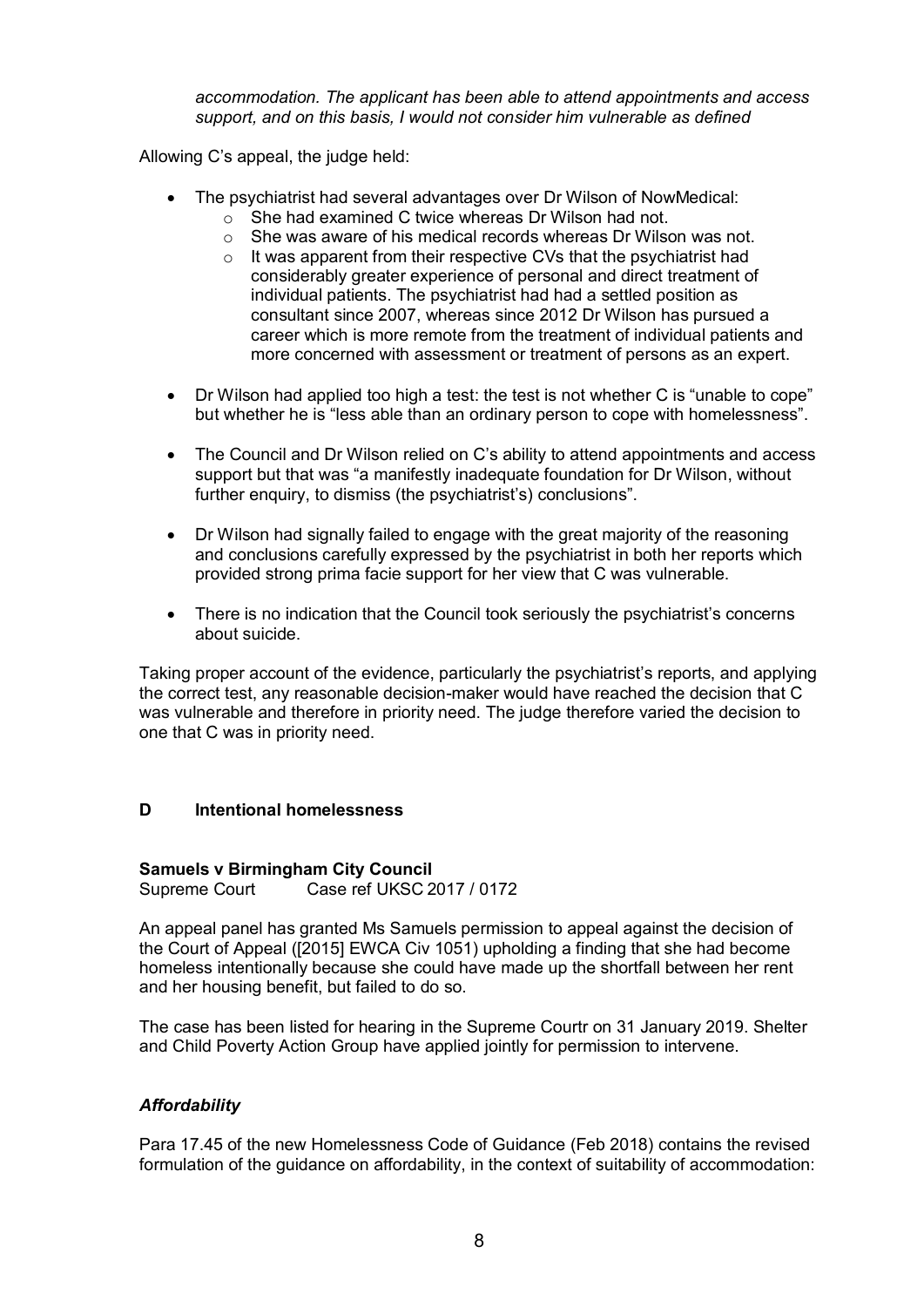*accommodation. The applicant has been able to attend appointments and access support, and on this basis, I would not consider him vulnerable as defined*

Allowing C's appeal, the judge held:

- The psychiatrist had several advantages over Dr Wilson of NowMedical:
	- $\circ$  She had examined C twice whereas Dr Wilson had not.
	- o She was aware of his medical records whereas Dr Wilson was not.
	- o It was apparent from their respective CVs that the psychiatrist had considerably greater experience of personal and direct treatment of individual patients. The psychiatrist had had a settled position as consultant since 2007, whereas since 2012 Dr Wilson has pursued a career which is more remote from the treatment of individual patients and more concerned with assessment or treatment of persons as an expert.
- Dr Wilson had applied too high a test: the test is not whether C is "unable to cope" but whether he is "less able than an ordinary person to cope with homelessness".
- The Council and Dr Wilson relied on C's ability to attend appointments and access support but that was "a manifestly inadequate foundation for Dr Wilson, without further enquiry, to dismiss (the psychiatrist's) conclusions".
- Dr Wilson had signally failed to engage with the great majority of the reasoning and conclusions carefully expressed by the psychiatrist in both her reports which provided strong prima facie support for her view that C was vulnerable.
- There is no indication that the Council took seriously the psychiatrist's concerns about suicide.

Taking proper account of the evidence, particularly the psychiatrist's reports, and applying the correct test, any reasonable decision-maker would have reached the decision that C was vulnerable and therefore in priority need. The judge therefore varied the decision to one that C was in priority need.

# **D Intentional homelessness**

#### **Samuels v Birmingham City Council** Supreme Court Case ref UKSC 2017 / 0172

An appeal panel has granted Ms Samuels permission to appeal against the decision of the Court of Appeal ([\[2015\] EWCA Civ 1051](http://www.bailii.org/ew/cases/EWCA/Civ/2015/1051.html)) upholding a finding that she had become homeless intentionally because she could have made up the shortfall between her rent and her housing benefit, but failed to do so.

The case has been listed for hearing in the Supreme Courtr on 31 January 2019. Shelter and Child Poverty Action Group have applied jointly for permission to intervene.

### *Affordability*

Para 17.45 of the new Homelessness Code of Guidance (Feb 2018) contains the revised formulation of the guidance on affordability, in the context of suitability of accommodation: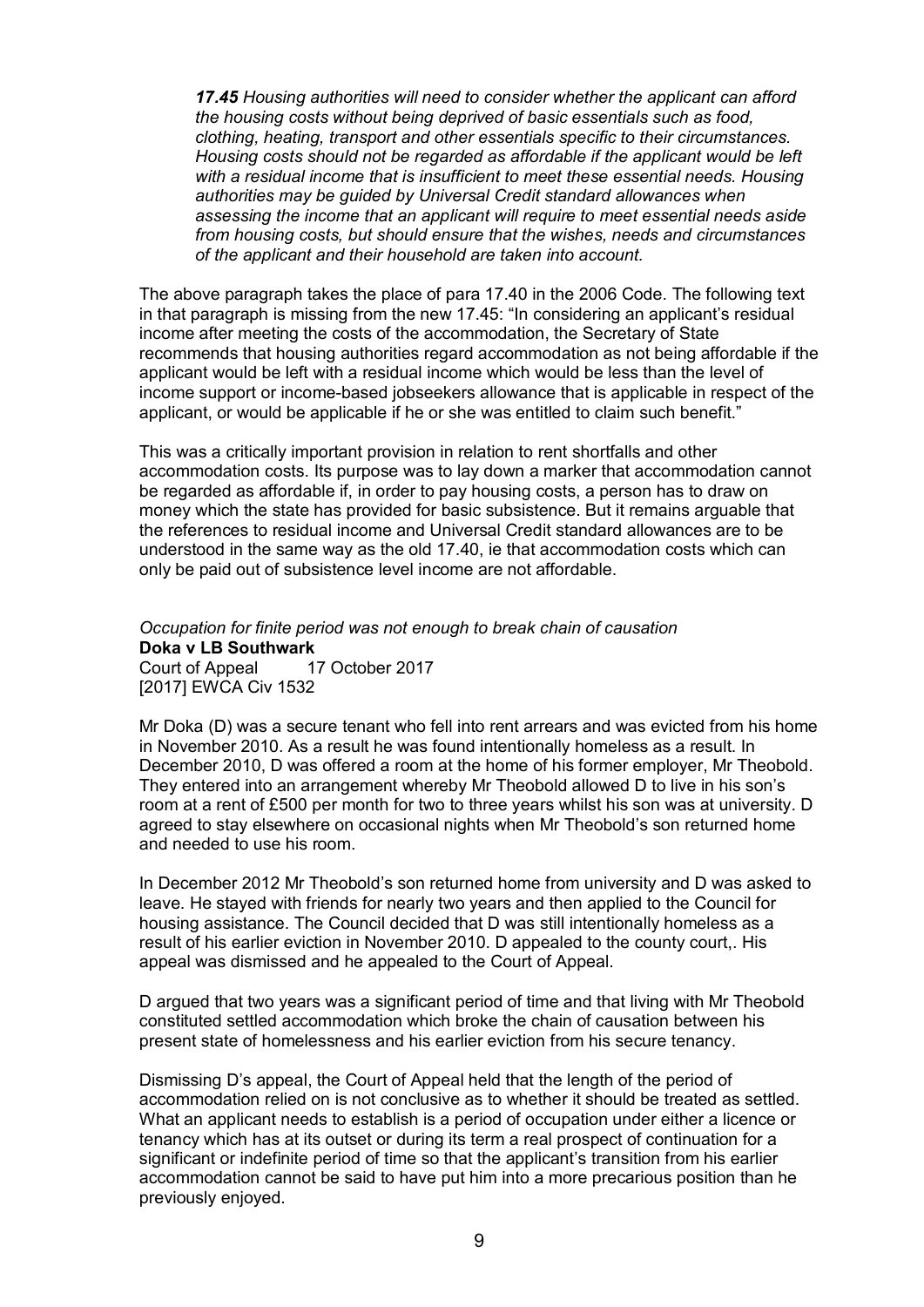*17.45 Housing authorities will need to consider whether the applicant can afford the housing costs without being deprived of basic essentials such as food, clothing, heating, transport and other essentials specific to their circumstances. Housing costs should not be regarded as affordable if the applicant would be left with a residual income that is insufficient to meet these essential needs. Housing authorities may be guided by Universal Credit standard allowances when assessing the income that an applicant will require to meet essential needs aside from housing costs, but should ensure that the wishes, needs and circumstances of the applicant and their household are taken into account.* 

The above paragraph takes the place of para 17.40 in the 2006 Code. The following text in that paragraph is missing from the new 17.45: "In considering an applicant's residual income after meeting the costs of the accommodation, the Secretary of State recommends that housing authorities regard accommodation as not being affordable if the applicant would be left with a residual income which would be less than the level of income support or income-based jobseekers allowance that is applicable in respect of the applicant, or would be applicable if he or she was entitled to claim such benefit."

This was a critically important provision in relation to rent shortfalls and other accommodation costs. Its purpose was to lay down a marker that accommodation cannot be regarded as affordable if, in order to pay housing costs, a person has to draw on money which the state has provided for basic subsistence. But it remains arguable that the references to residual income and Universal Credit standard allowances are to be understood in the same way as the old 17.40, ie that accommodation costs which can only be paid out of subsistence level income are not affordable.

*Occupation for finite period was not enough to break chain of causation*  **Doka v LB Southwark** Court of Appeal 17 October 2017 [2017] EWCA Civ 1532

Mr Doka (D) was a secure tenant who fell into rent arrears and was evicted from his home in November 2010. As a result he was found intentionally homeless as a result. In December 2010, D was offered a room at the home of his former employer, Mr Theobold. They entered into an arrangement whereby Mr Theobold allowed D to live in his son's room at a rent of £500 per month for two to three years whilst his son was at university. D agreed to stay elsewhere on occasional nights when Mr Theobold's son returned home and needed to use his room.

In December 2012 Mr Theobold's son returned home from university and D was asked to leave. He stayed with friends for nearly two years and then applied to the Council for housing assistance. The Council decided that D was still intentionally homeless as a result of his earlier eviction in November 2010. D appealed to the county court,. His appeal was dismissed and he appealed to the Court of Appeal.

D argued that two years was a significant period of time and that living with Mr Theobold constituted settled accommodation which broke the chain of causation between his present state of homelessness and his earlier eviction from his secure tenancy.

Dismissing D's appeal, the Court of Appeal held that the length of the period of accommodation relied on is not conclusive as to whether it should be treated as settled. What an applicant needs to establish is a period of occupation under either a licence or tenancy which has at its outset or during its term a real prospect of continuation for a significant or indefinite period of time so that the applicant's transition from his earlier accommodation cannot be said to have put him into a more precarious position than he previously enjoyed.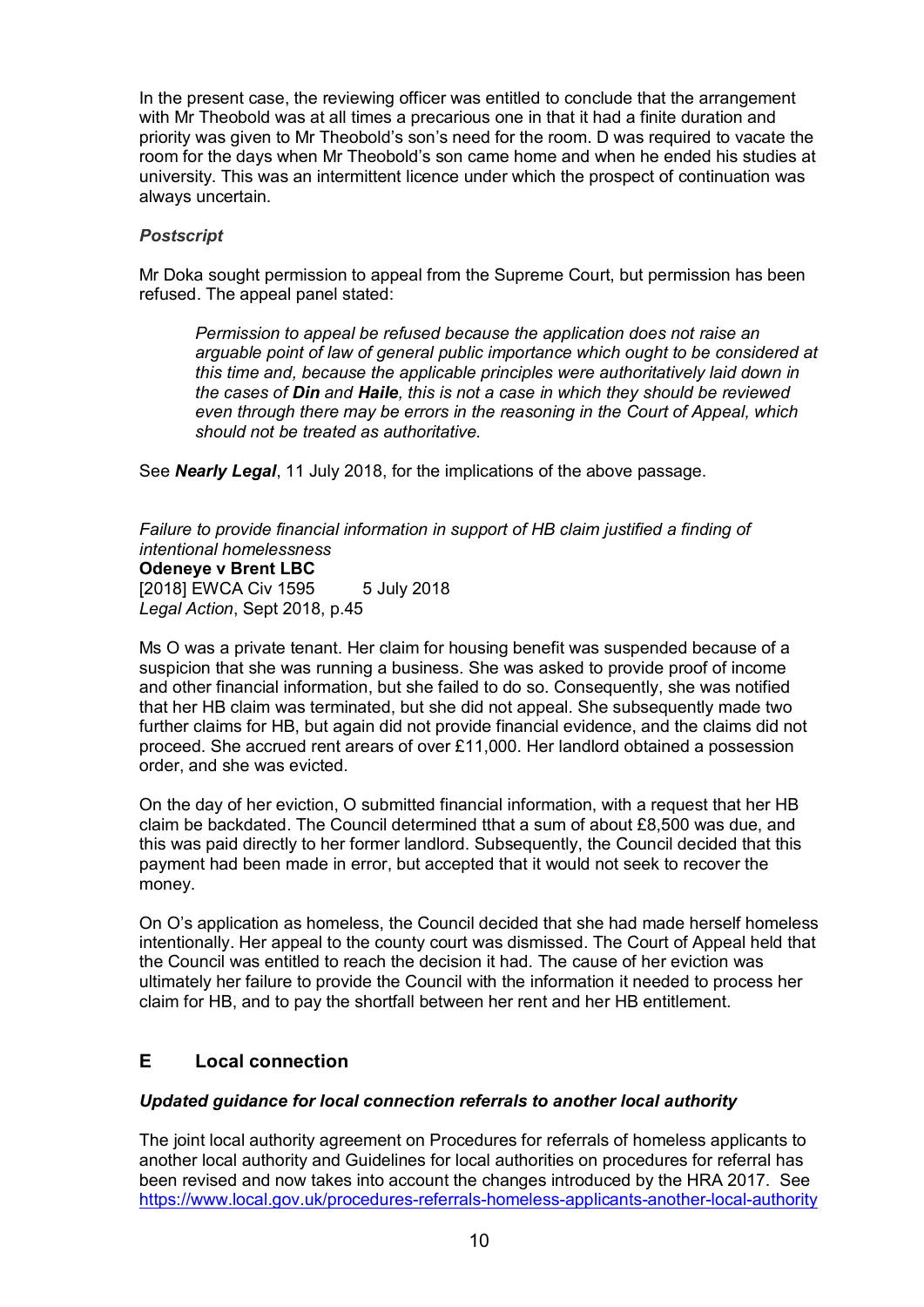In the present case, the reviewing officer was entitled to conclude that the arrangement with Mr Theobold was at all times a precarious one in that it had a finite duration and priority was given to Mr Theobold's son's need for the room. D was required to vacate the room for the days when Mr Theobold's son came home and when he ended his studies at university. This was an intermittent licence under which the prospect of continuation was always uncertain.

# *Postscript*

Mr Doka sought permission to appeal from the Supreme Court, but permission has been refused. The appeal panel stated:

*Permission to appeal be refused because the application does not raise an arguable point of law of general public importance which ought to be considered at this time and, because the applicable principles were authoritatively laid down in the cases of Din and Haile, this is not a case in which they should be reviewed even through there may be errors in the reasoning in the Court of Appeal, which should not be treated as authoritative.*

See *Nearly Legal*, 11 July 2018, for the implications of the above passage.

*Failure to provide financial information in support of HB claim justified a finding of intentional homelessness*

**Odeneye v Brent LBC** [2018] EWCA Civ 1595 5 July 2018 *Legal Action*, Sept 2018, p.45

Ms O was a private tenant. Her claim for housing benefit was suspended because of a suspicion that she was running a business. She was asked to provide proof of income and other financial information, but she failed to do so. Consequently, she was notified that her HB claim was terminated, but she did not appeal. She subsequently made two further claims for HB, but again did not provide financial evidence, and the claims did not proceed. She accrued rent arears of over £11,000. Her landlord obtained a possession order, and she was evicted.

On the day of her eviction, O submitted financial information, with a request that her HB claim be backdated. The Council determined tthat a sum of about £8,500 was due, and this was paid directly to her former landlord. Subsequently, the Council decided that this payment had been made in error, but accepted that it would not seek to recover the money.

On O's application as homeless, the Council decided that she had made herself homeless intentionally. Her appeal to the county court was dismissed. The Court of Appeal held that the Council was entitled to reach the decision it had. The cause of her eviction was ultimately her failure to provide the Council with the information it needed to process her claim for HB, and to pay the shortfall between her rent and her HB entitlement.

# **E Local connection**

# *Updated guidance for local connection referrals to another local authority*

The joint local authority agreement on Procedures for referrals of homeless applicants to another local authority and Guidelines for local authorities on procedures for referral has been revised and now takes into account the changes introduced by the HRA 2017. See https://www.local.gov.uk/procedures-referrals-homeless-applicants-another-local-authority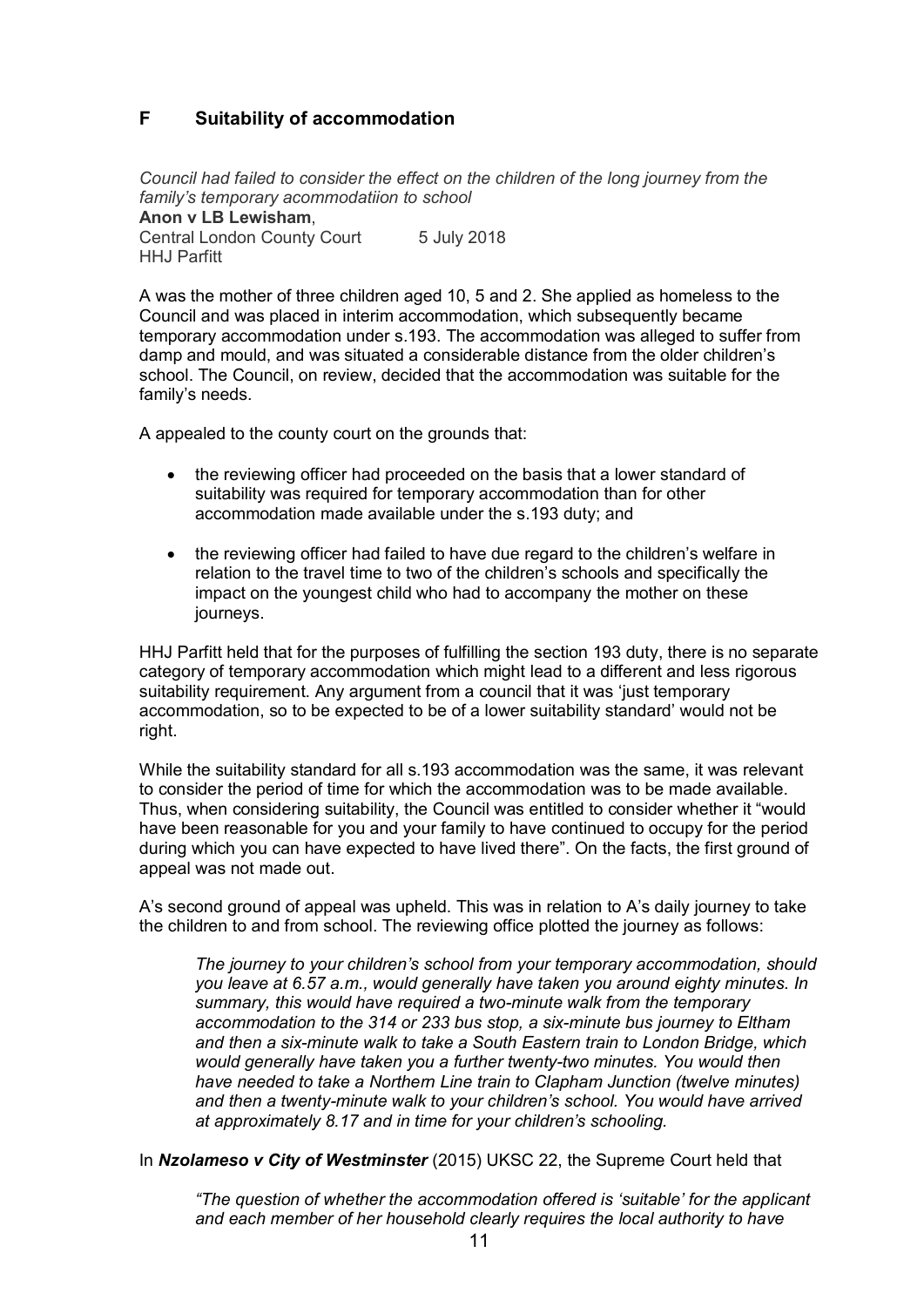# **F Suitability of accommodation**

*Council had failed to consider the effect on the children of the long journey from the family's temporary acommodatiion to school* **Anon v LB Lewisham**, Central London County Court 5 July 2018 HHJ Parfitt

A was the mother of three children aged 10, 5 and 2. She applied as homeless to the Council and was placed in interim accommodation, which subsequently became temporary accommodation under s.193. The accommodation was alleged to suffer from damp and mould, and was situated a considerable distance from the older children's school. The Council, on review, decided that the accommodation was suitable for the family's needs.

A appealed to the county court on the grounds that:

- the reviewing officer had proceeded on the basis that a lower standard of suitability was required for temporary accommodation than for other accommodation made available under the s.193 duty; and
- the reviewing officer had failed to have due regard to the children's welfare in relation to the travel time to two of the children's schools and specifically the impact on the youngest child who had to accompany the mother on these journeys.

HHJ Parfitt held that for the purposes of fulfilling the section 193 duty, there is no separate category of temporary accommodation which might lead to a different and less rigorous suitability requirement. Any argument from a council that it was 'just temporary accommodation, so to be expected to be of a lower suitability standard' would not be right.

While the suitability standard for all s.193 accommodation was the same, it was relevant to consider the period of time for which the accommodation was to be made available. Thus, when considering suitability, the Council was entitled to consider whether it "would have been reasonable for you and your family to have continued to occupy for the period during which you can have expected to have lived there". On the facts, the first ground of appeal was not made out.

A's second ground of appeal was upheld. This was in relation to A's daily journey to take the children to and from school. The reviewing office plotted the journey as follows:

*The journey to your children's school from your temporary accommodation, should you leave at 6.57 a.m., would generally have taken you around eighty minutes. In summary, this would have required a two-minute walk from the temporary accommodation to the 314 or 233 bus stop, a six-minute bus journey to Eltham and then a six-minute walk to take a South Eastern train to London Bridge, which would generally have taken you a further twenty-two minutes. You would then have needed to take a Northern Line train to Clapham Junction (twelve minutes) and then a twenty-minute walk to your children's school. You would have arrived at approximately 8.17 and in time for your children's schooling.*

In *Nzolameso v City of Westminster* (2015) UKSC 22, the Supreme Court held that

*"The question of whether the accommodation offered is 'suitable' for the applicant and each member of her household clearly requires the local authority to have*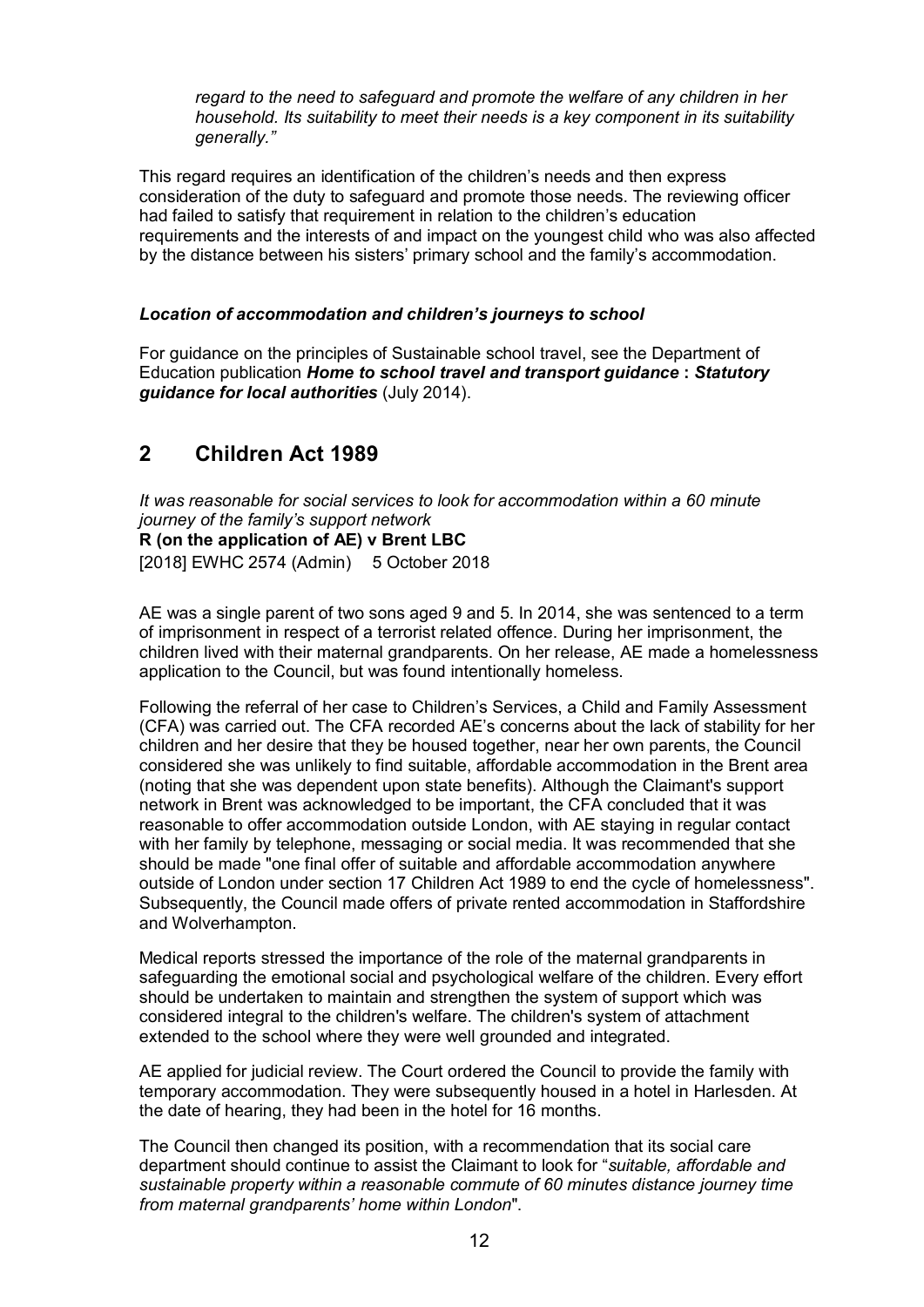*regard to the need to safeguard and promote the welfare of any children in her household. Its suitability to meet their needs is a key component in its suitability generally."*

This regard requires an identification of the children's needs and then express consideration of the duty to safeguard and promote those needs. The reviewing officer had failed to satisfy that requirement in relation to the children's education requirements and the interests of and impact on the youngest child who was also affected by the distance between his sisters' primary school and the family's accommodation.

# *Location of accommodation and children's journeys to school*

For guidance on the principles of Sustainable school travel, see the Department of Education publication *Home to school travel and transport guidance* **:** *Statutory guidance for local authorities* (July 2014).

# **2 Children Act 1989**

*It was reasonable for social services to look for accommodation within a 60 minute journey of the family's support network*

**R (on the application of AE) v Brent LBC** [2018] EWHC 2574 (Admin) 5 October 2018

AE was a single parent of two sons aged 9 and 5. In 2014, she was sentenced to a term of imprisonment in respect of a terrorist related offence. During her imprisonment, the children lived with their maternal grandparents. On her release, AE made a homelessness application to the Council, but was found intentionally homeless.

Following the referral of her case to Children's Services, a Child and Family Assessment (CFA) was carried out. The CFA recorded AE's concerns about the lack of stability for her children and her desire that they be housed together, near her own parents, the Council considered she was unlikely to find suitable, affordable accommodation in the Brent area (noting that she was dependent upon state benefits). Although the Claimant's support network in Brent was acknowledged to be important, the CFA concluded that it was reasonable to offer accommodation outside London, with AE staying in regular contact with her family by telephone, messaging or social media. It was recommended that she should be made "one final offer of suitable and affordable accommodation anywhere outside of London under section 17 Children Act 1989 to end the cycle of homelessness". Subsequently, the Council made offers of private rented accommodation in Staffordshire and Wolverhampton.

Medical reports stressed the importance of the role of the maternal grandparents in safeguarding the emotional social and psychological welfare of the children. Every effort should be undertaken to maintain and strengthen the system of support which was considered integral to the children's welfare. The children's system of attachment extended to the school where they were well grounded and integrated.

AE applied for judicial review. The Court ordered the Council to provide the family with temporary accommodation. They were subsequently housed in a hotel in Harlesden. At the date of hearing, they had been in the hotel for 16 months.

The Council then changed its position, with a recommendation that its social care department should continue to assist the Claimant to look for "*suitable, affordable and sustainable property within a reasonable commute of 60 minutes distance journey time from maternal grandparents' home within London*".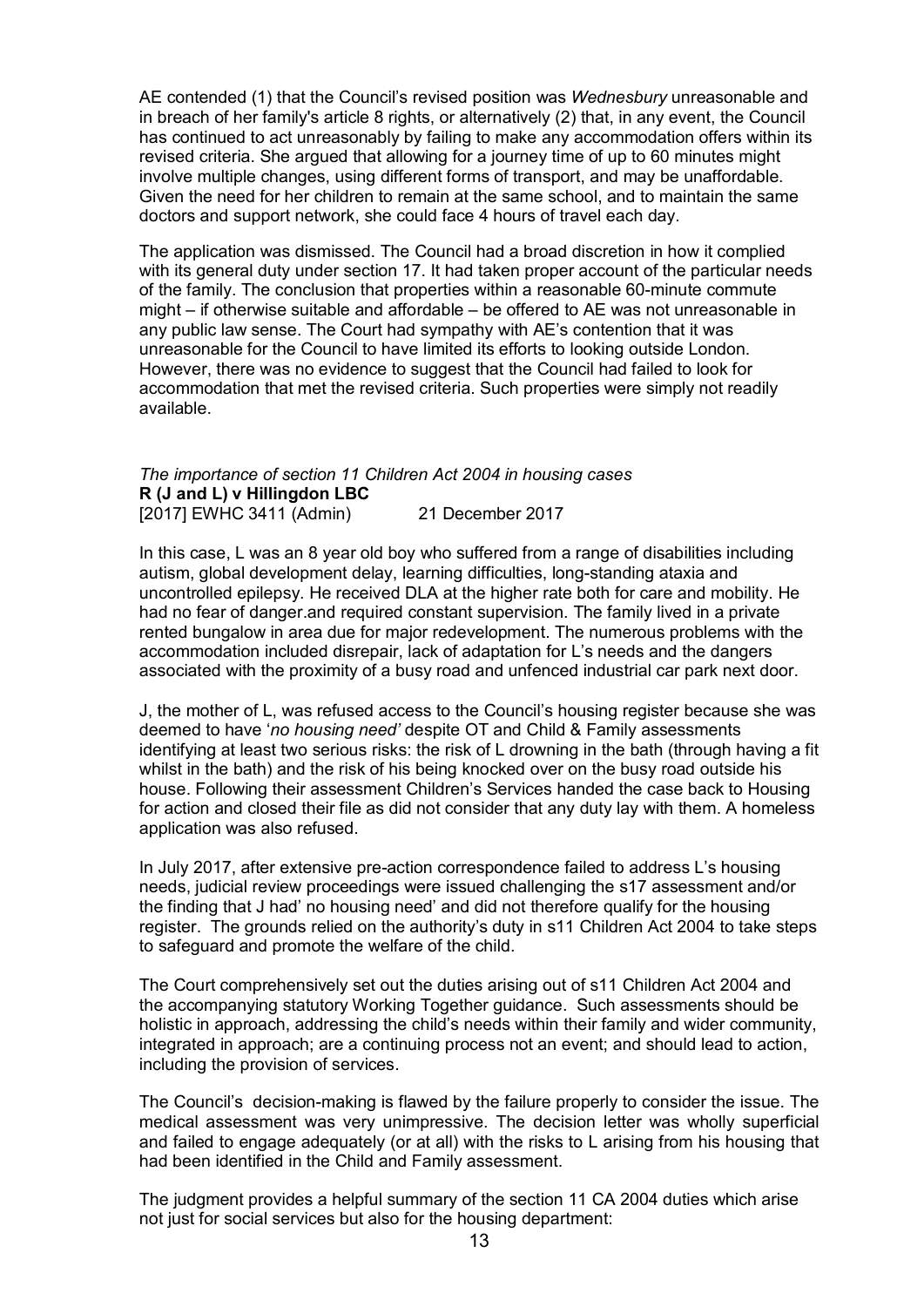AE contended (1) that the Council's revised position was *Wednesbury* unreasonable and in breach of her family's article 8 rights, or alternatively (2) that, in any event, the Council has continued to act unreasonably by failing to make any accommodation offers within its revised criteria. She argued that allowing for a journey time of up to 60 minutes might involve multiple changes, using different forms of transport, and may be unaffordable. Given the need for her children to remain at the same school, and to maintain the same doctors and support network, she could face 4 hours of travel each day.

The application was dismissed. The Council had a broad discretion in how it complied with its general duty under section 17. It had taken proper account of the particular needs of the family. The conclusion that properties within a reasonable 60-minute commute might – if otherwise suitable and affordable – be offered to AE was not unreasonable in any public law sense. The Court had sympathy with AE's contention that it was unreasonable for the Council to have limited its efforts to looking outside London. However, there was no evidence to suggest that the Council had failed to look for accommodation that met the revised criteria. Such properties were simply not readily available.

### *The importance of section 11 Children Act 2004 in housing cases* **[R \(J and L\) v Hillingdon](http://www.bailii.org/ew/cases/EWHC/Admin/2017/3411.html) LBC** [2017] EWHC 3411 (Admin) 21 December 2017

In this case, L was an 8 year old boy who suffered from a range of disabilities including autism, global development delay, learning difficulties, long-standing ataxia and uncontrolled epilepsy. He received DLA at the higher rate both for care and mobility. He had no fear of danger.and required constant supervision. The family lived in a private rented bungalow in area due for major redevelopment. The numerous problems with the accommodation included disrepair, lack of adaptation for L's needs and the dangers associated with the proximity of a busy road and unfenced industrial car park next door.

J, the mother of L, was refused access to the Council's housing register because she was deemed to have '*no housing need'* despite OT and Child & Family assessments identifying at least two serious risks: the risk of L drowning in the bath (through having a fit whilst in the bath) and the risk of his being knocked over on the busy road outside his house. Following their assessment Children's Services handed the case back to Housing for action and closed their file as did not consider that any duty lay with them. A homeless application was also refused.

In July 2017, after extensive pre-action correspondence failed to address L's housing needs, judicial review proceedings were issued challenging the s17 assessment and/or the finding that J had' no housing need' and did not therefore qualify for the housing register. The grounds relied on the authority's duty in s11 Children Act 2004 to take steps to safeguard and promote the welfare of the child.

The Court comprehensively set out the duties arising out of s11 Children Act 2004 and the accompanying statutory Working Together guidance. Such assessments should be holistic in approach, addressing the child's needs within their family and wider community, integrated in approach; are a continuing process not an event; and should lead to action, including the provision of services.

The Council's decision-making is flawed by the failure properly to consider the issue. The medical assessment was very unimpressive. The decision letter was wholly superficial and failed to engage adequately (or at all) with the risks to L arising from his housing that had been identified in the Child and Family assessment.

The judgment provides a helpful summary of the section 11 CA 2004 duties which arise not just for social services but also for the housing department: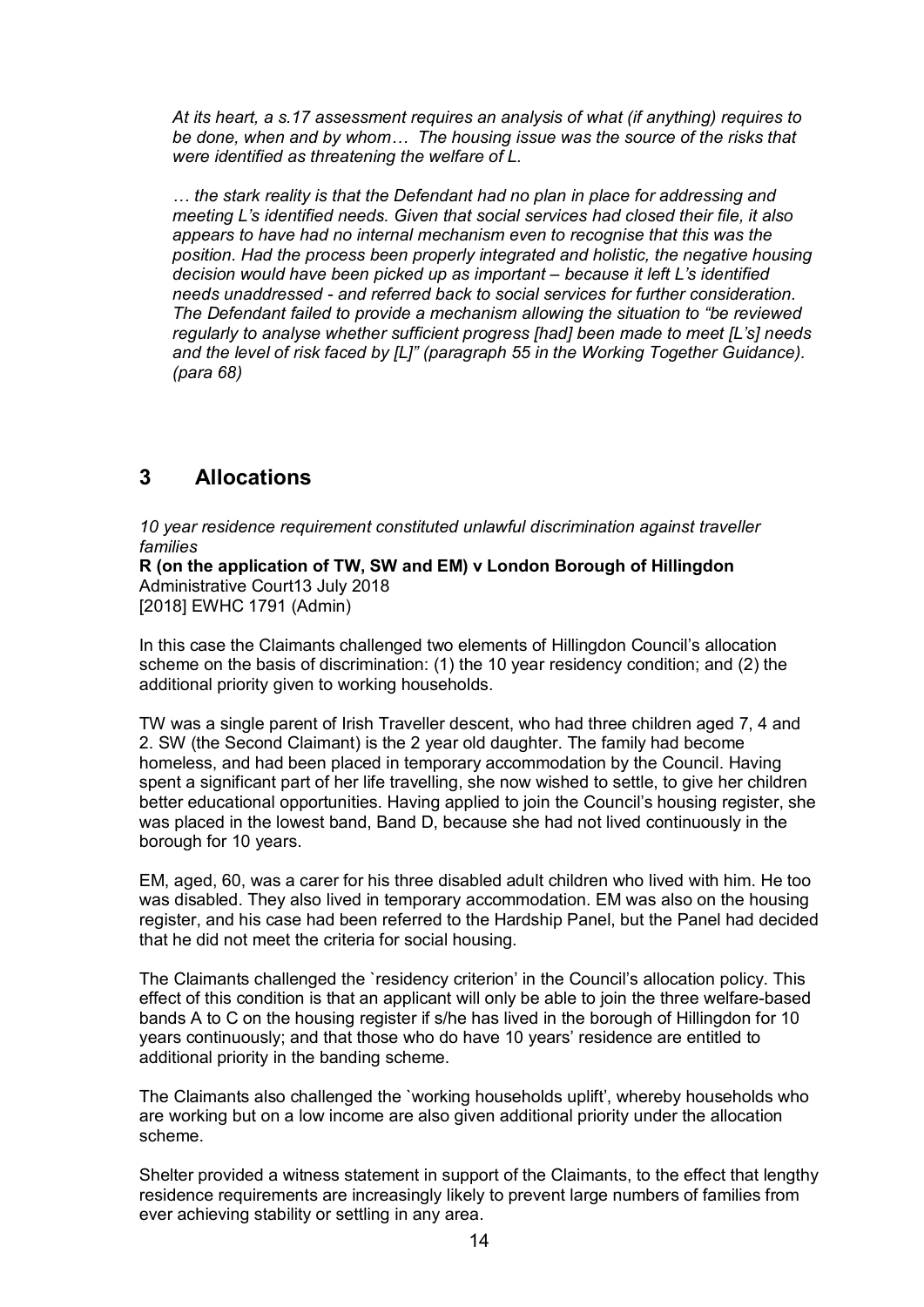*At its heart, a s.17 assessment requires an analysis of what (if anything) requires to be done, when and by whom… The housing issue was the source of the risks that were identified as threatening the welfare of L.* 

*… the stark reality is that the Defendant had no plan in place for addressing and meeting L's identified needs. Given that social services had closed their file, it also appears to have had no internal mechanism even to recognise that this was the position. Had the process been properly integrated and holistic, the negative housing decision would have been picked up as important – because it left L's identified needs unaddressed - and referred back to social services for further consideration. The Defendant failed to provide a mechanism allowing the situation to "be reviewed regularly to analyse whether sufficient progress [had] been made to meet [L's] needs and the level of risk faced by [L]" (paragraph 55 in the Working Together Guidance). (para 68)*

# **3 Allocations**

*10 year residence requirement constituted unlawful discrimination against traveller families*

**R (on the application of TW, SW and EM) v London Borough of Hillingdon** Administrative Court13 July 2018 [2018] EWHC 1791 (Admin)

In this case the Claimants challenged two elements of Hillingdon Council's allocation scheme on the basis of discrimination: (1) the 10 year residency condition; and (2) the additional priority given to working households.

TW was a single parent of Irish Traveller descent, who had three children aged 7, 4 and 2. SW (the Second Claimant) is the 2 year old daughter. The family had become homeless, and had been placed in temporary accommodation by the Council. Having spent a significant part of her life travelling, she now wished to settle, to give her children better educational opportunities. Having applied to join the Council's housing register, she was placed in the lowest band, Band D, because she had not lived continuously in the borough for 10 years.

EM, aged, 60, was a carer for his three disabled adult children who lived with him. He too was disabled. They also lived in temporary accommodation. EM was also on the housing register, and his case had been referred to the Hardship Panel, but the Panel had decided that he did not meet the criteria for social housing.

The Claimants challenged the `residency criterion' in the Council's allocation policy. This effect of this condition is that an applicant will only be able to join the three welfare-based bands A to C on the housing register if s/he has lived in the borough of Hillingdon for 10 years continuously; and that those who do have 10 years' residence are entitled to additional priority in the banding scheme.

The Claimants also challenged the `working households uplift', whereby households who are working but on a low income are also given additional priority under the allocation scheme.

Shelter provided a witness statement in support of the Claimants, to the effect that lengthy residence requirements are increasingly likely to prevent large numbers of families from ever achieving stability or settling in any area.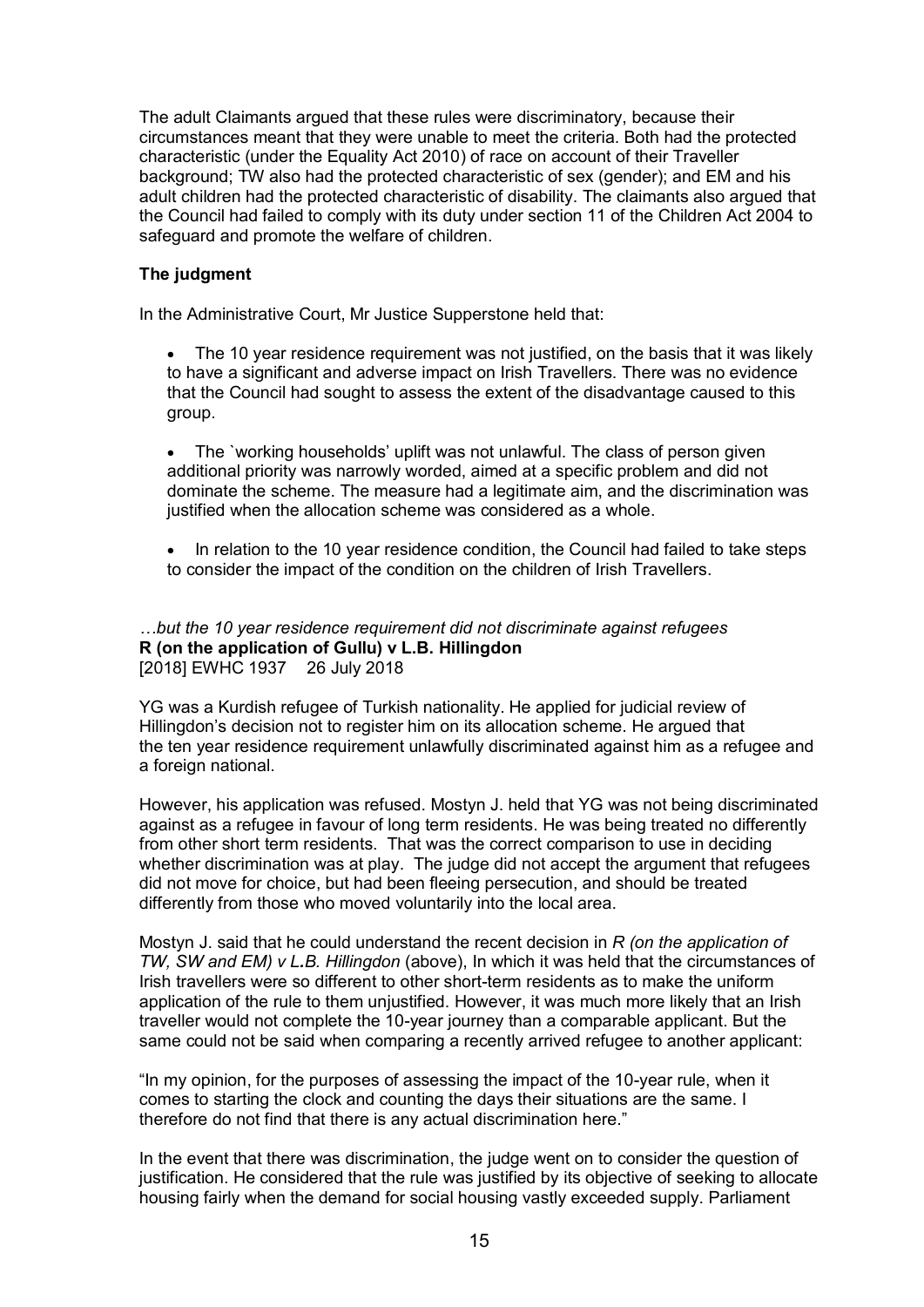The adult Claimants argued that these rules were discriminatory, because their circumstances meant that they were unable to meet the criteria. Both had the protected characteristic (under the Equality Act 2010) of race on account of their Traveller background; TW also had the protected characteristic of sex (gender); and EM and his adult children had the protected characteristic of disability. The claimants also argued that the Council had failed to comply with its duty under section 11 of the Children Act 2004 to safeguard and promote the welfare of children.

## **The judgment**

In the Administrative Court, Mr Justice Supperstone held that:

- The 10 year residence requirement was not justified, on the basis that it was likely to have a significant and adverse impact on Irish Travellers. There was no evidence that the Council had sought to assess the extent of the disadvantage caused to this group.
- The `working households' uplift was not unlawful. The class of person given additional priority was narrowly worded, aimed at a specific problem and did not dominate the scheme. The measure had a legitimate aim, and the discrimination was justified when the allocation scheme was considered as a whole.
- In relation to the 10 year residence condition, the Council had failed to take steps to consider the impact of the condition on the children of Irish Travellers.

### *…but the 10 year residence requirement did not discriminate against refugees* **R (on the application [of Gullu\) v L.B. Hillingdon](http://www.bailii.org/ew/cases/EWHC/Admin/2018/1937.html)** [2018] EWHC 1937 26 July 2018

YG was a Kurdish refugee of Turkish nationality. He applied for judicial review of Hillingdon's decision not to register him on its allocation scheme. He argued that the ten year residence requirement unlawfully discriminated against him as a refugee and a foreign national.

However, his application was refused. Mostyn J. held that YG was not being discriminated against as a refugee in favour of long term residents. He was being treated no differently from other short term residents. That was the correct comparison to use in deciding whether discrimination was at play. The judge did not accept the argument that refugees did not move for choice, but had been fleeing persecution, and should be treated differently from those who moved voluntarily into the local area.

Mostyn J. said that he could understand the recent decision in *R (on the application of TW, SW and EM) v L.B. Hillingdon* (above), In which it was held that the circumstances of Irish travellers were so different to other short-term residents as to make the uniform application of the rule to them unjustified. However, it was much more likely that an Irish traveller would not complete the 10-year journey than a comparable applicant. But the same could not be said when comparing a recently arrived refugee to another applicant:

"In my opinion, for the purposes of assessing the impact of the 10-year rule, when it comes to starting the clock and counting the days their situations are the same. I therefore do not find that there is any actual discrimination here."

In the event that there was discrimination, the judge went on to consider the question of justification. He considered that the rule was justified by its objective of seeking to allocate housing fairly when the demand for social housing vastly exceeded supply. Parliament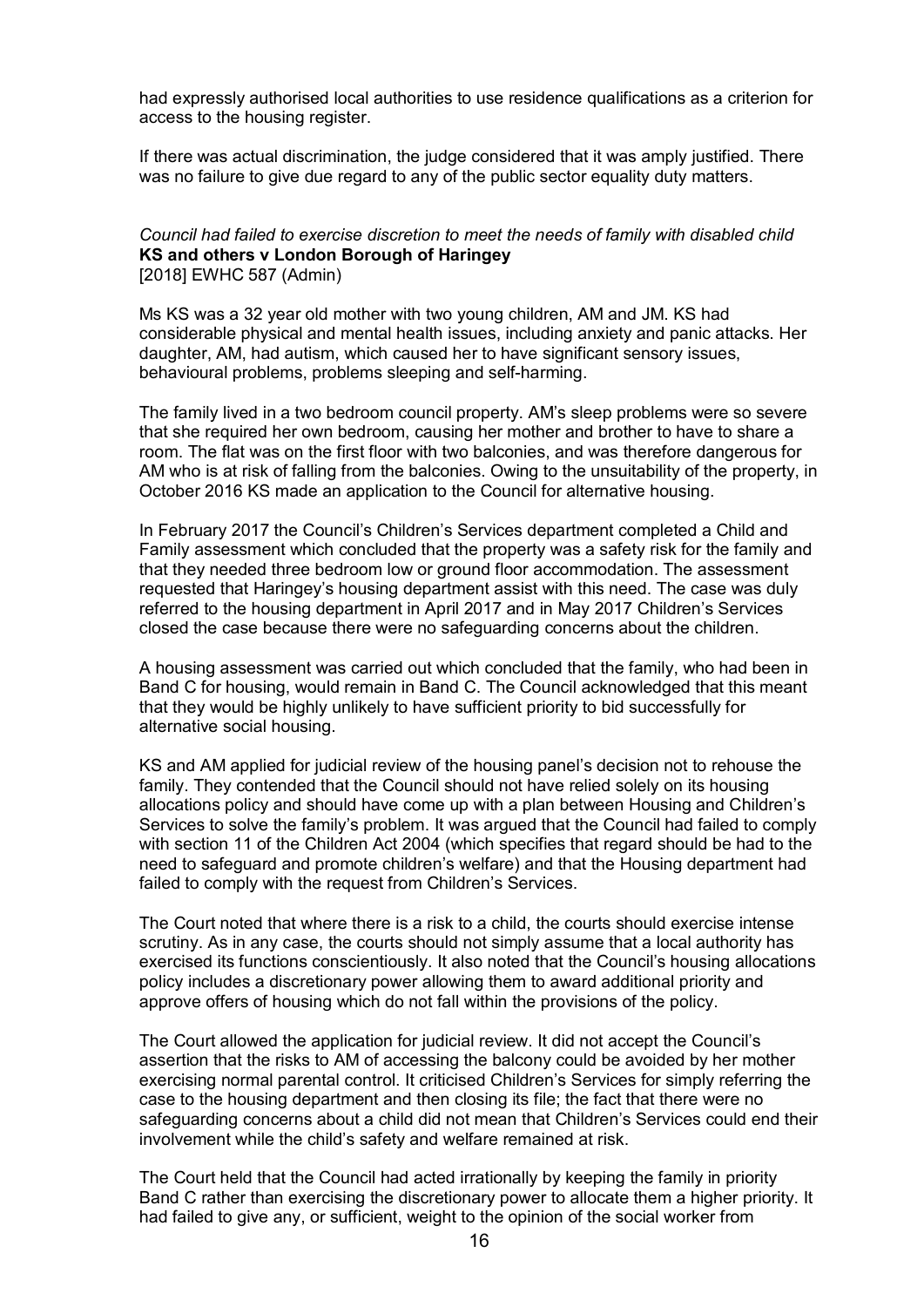had expressly authorised local authorities to use residence qualifications as a criterion for access to the housing register.

If there was actual discrimination, the judge considered that it was amply justified. There was no failure to give due regard to any of the public sector equality duty matters.

#### *Council had failed to exercise discretion to meet the needs of family with disabled child* **KS and others v London Borough of Haringey** [2018] EWHC 587 (Admin)

Ms KS was a 32 year old mother with two young children, AM and JM. KS had considerable physical and mental health issues, including anxiety and panic attacks. Her daughter, AM, had autism, which caused her to have significant sensory issues, behavioural problems, problems sleeping and self-harming.

The family lived in a two bedroom council property. AM's sleep problems were so severe that she required her own bedroom, causing her mother and brother to have to share a room. The flat was on the first floor with two balconies, and was therefore dangerous for AM who is at risk of falling from the balconies. Owing to the unsuitability of the property, in October 2016 KS made an application to the Council for alternative housing.

In February 2017 the Council's Children's Services department completed a Child and Family assessment which concluded that the property was a safety risk for the family and that they needed three bedroom low or ground floor accommodation. The assessment requested that Haringey's housing department assist with this need. The case was duly referred to the housing department in April 2017 and in May 2017 Children's Services closed the case because there were no safeguarding concerns about the children.

A housing assessment was carried out which concluded that the family, who had been in Band C for housing, would remain in Band C. The Council acknowledged that this meant that they would be highly unlikely to have sufficient priority to bid successfully for alternative social housing.

KS and AM applied for judicial review of the housing panel's decision not to rehouse the family. They contended that the Council should not have relied solely on its housing allocations policy and should have come up with a plan between Housing and Children's Services to solve the family's problem. It was argued that the Council had failed to comply with section 11 of the Children Act 2004 (which specifies that regard should be had to the need to safeguard and promote children's welfare) and that the Housing department had failed to comply with the request from Children's Services.

The Court noted that where there is a risk to a child, the courts should exercise intense scrutiny. As in any case, the courts should not simply assume that a local authority has exercised its functions conscientiously. It also noted that the Council's housing allocations policy includes a discretionary power allowing them to award additional priority and approve offers of housing which do not fall within the provisions of the policy.

The Court allowed the application for judicial review. It did not accept the Council's assertion that the risks to AM of accessing the balcony could be avoided by her mother exercising normal parental control. It criticised Children's Services for simply referring the case to the housing department and then closing its file; the fact that there were no safeguarding concerns about a child did not mean that Children's Services could end their involvement while the child's safety and welfare remained at risk.

The Court held that the Council had acted irrationally by keeping the family in priority Band C rather than exercising the discretionary power to allocate them a higher priority. It had failed to give any, or sufficient, weight to the opinion of the social worker from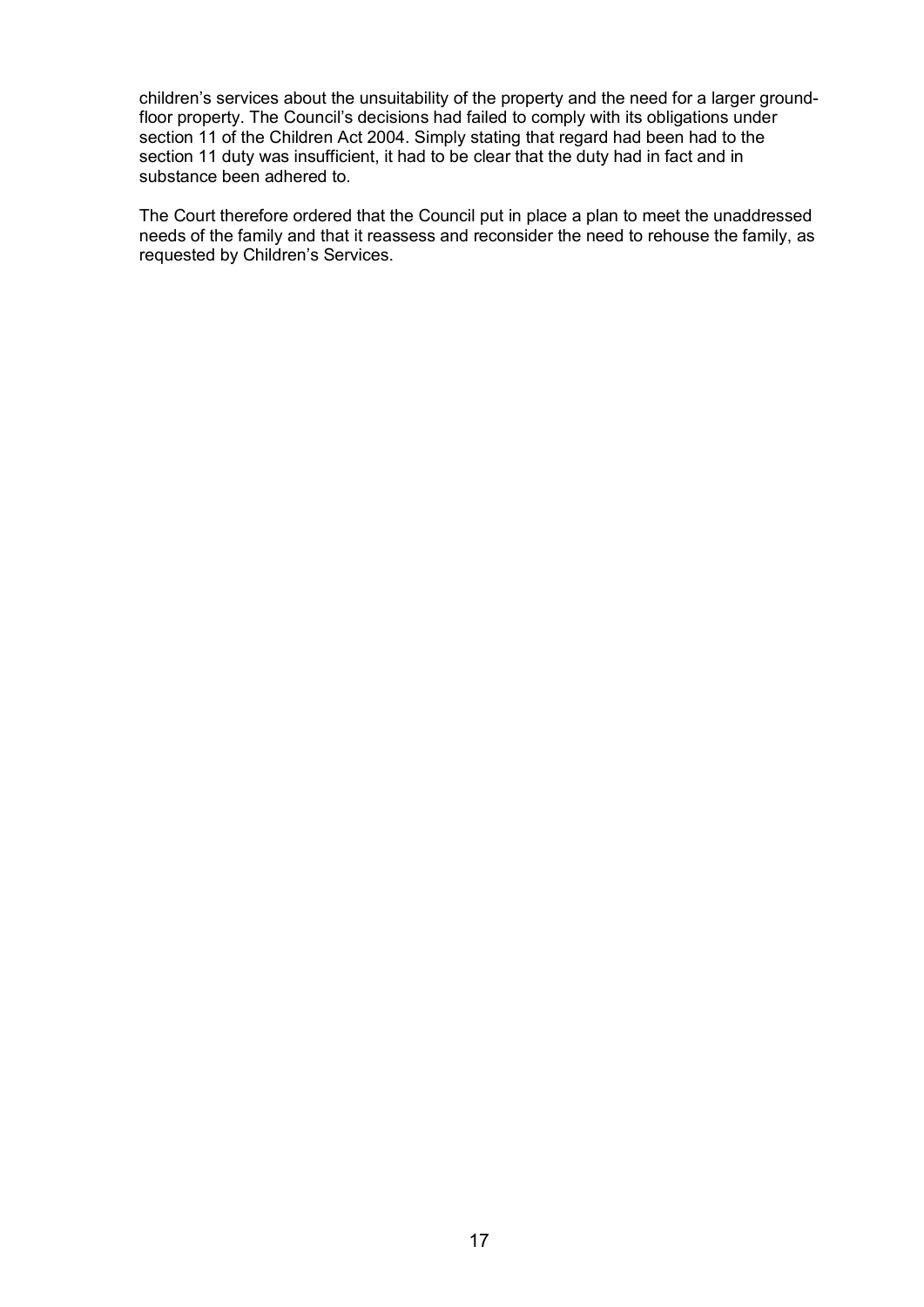children's services about the unsuitability of the property and the need for a larger groundfloor property. The Council's decisions had failed to comply with its obligations under section 11 of the Children Act 2004. Simply stating that regard had been had to the section 11 duty was insufficient, it had to be clear that the duty had in fact and in substance been adhered to.

The Court therefore ordered that the Council put in place a plan to meet the unaddressed needs of the family and that it reassess and reconsider the need to rehouse the family, as requested by Children's Services.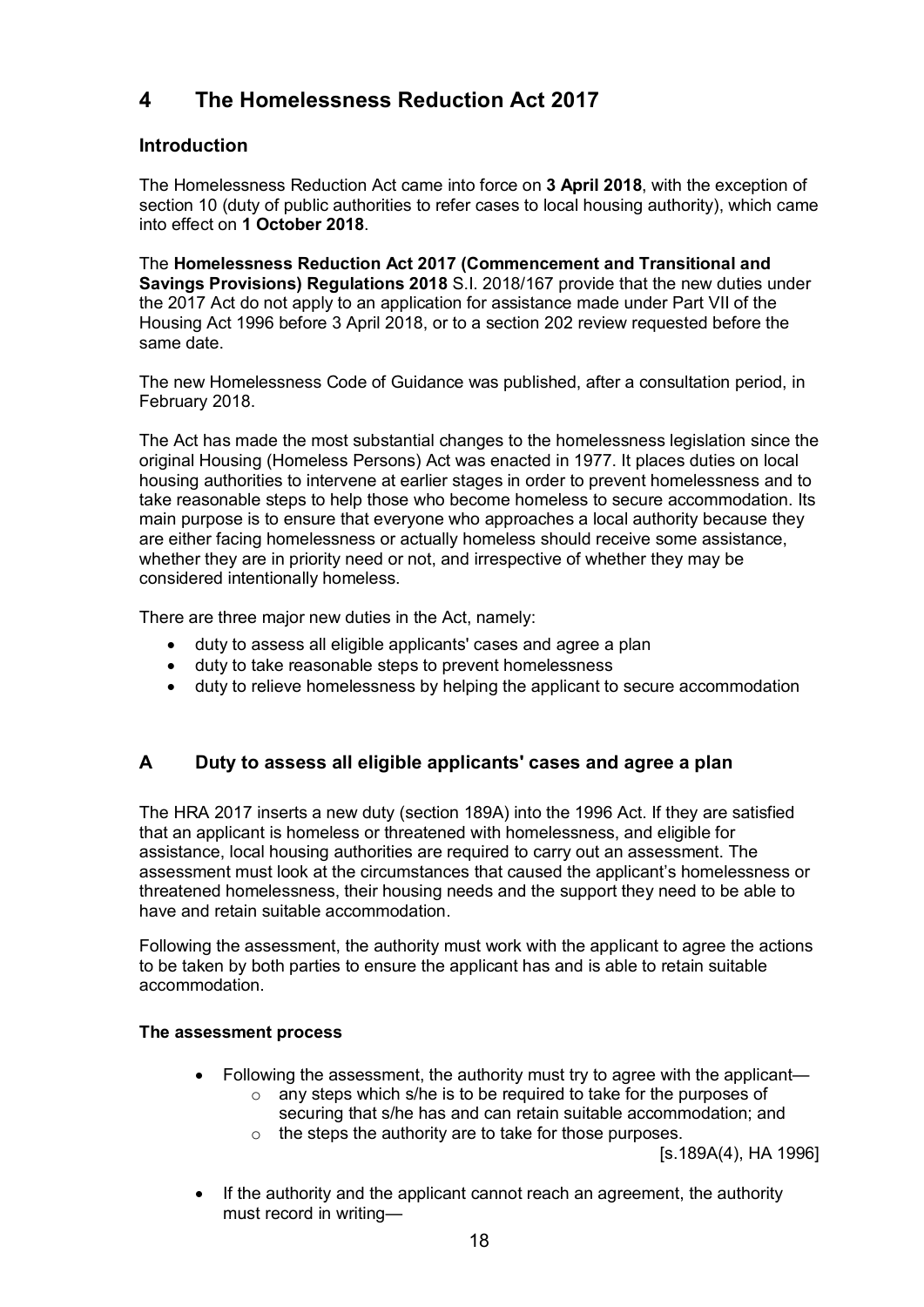# **4 The Homelessness Reduction Act 2017**

# **Introduction**

The Homelessness Reduction Act came into force on **3 April 2018**, with the exception of section 10 (duty of public authorities to refer cases to local housing authority), which came into effect on **1 October 2018**.

The **Homelessness Reduction Act 2017 (Commencement and Transitional and Savings Provisions) Regulations 2018** S.I. 2018/167 provide that the new duties under the 2017 Act do not apply to an application for assistance made under Part VII of the Housing Act 1996 before 3 April 2018, or to a section 202 review requested before the same date.

The new Homelessness Code of Guidance was published, after a consultation period, in February 2018.

The Act has made the most substantial changes to the homelessness legislation since the original Housing (Homeless Persons) Act was enacted in 1977. It places duties on local housing authorities to intervene at earlier stages in order to prevent homelessness and to take reasonable steps to help those who become homeless to secure accommodation. Its main purpose is to ensure that everyone who approaches a local authority because they are either facing homelessness or actually homeless should receive some assistance, whether they are in priority need or not, and irrespective of whether they may be considered intentionally homeless.

There are three major new duties in the Act, namely:

- duty to assess all eligible applicants' cases and agree a plan
- duty to take reasonable steps to prevent homelessness
- duty to relieve homelessness by helping the applicant to secure accommodation

# **A Duty to assess all eligible applicants' cases and agree a plan**

The HRA 2017 inserts a new duty (section 189A) into the 1996 Act. If they are satisfied that an applicant is homeless or threatened with homelessness, and eligible for assistance, local housing authorities are required to carry out an assessment. The assessment must look at the circumstances that caused the applicant's homelessness or threatened homelessness, their housing needs and the support they need to be able to have and retain suitable accommodation.

Following the assessment, the authority must work with the applicant to agree the actions to be taken by both parties to ensure the applicant has and is able to retain suitable accommodation.

### **The assessment process**

- Following the assessment, the authority must try to agree with the applicant
	- o any steps which s/he is to be required to take for the purposes of securing that s/he has and can retain suitable accommodation; and
	- o the steps the authority are to take for those purposes.

[s.189A(4), HA 1996]

 If the authority and the applicant cannot reach an agreement, the authority must record in writing—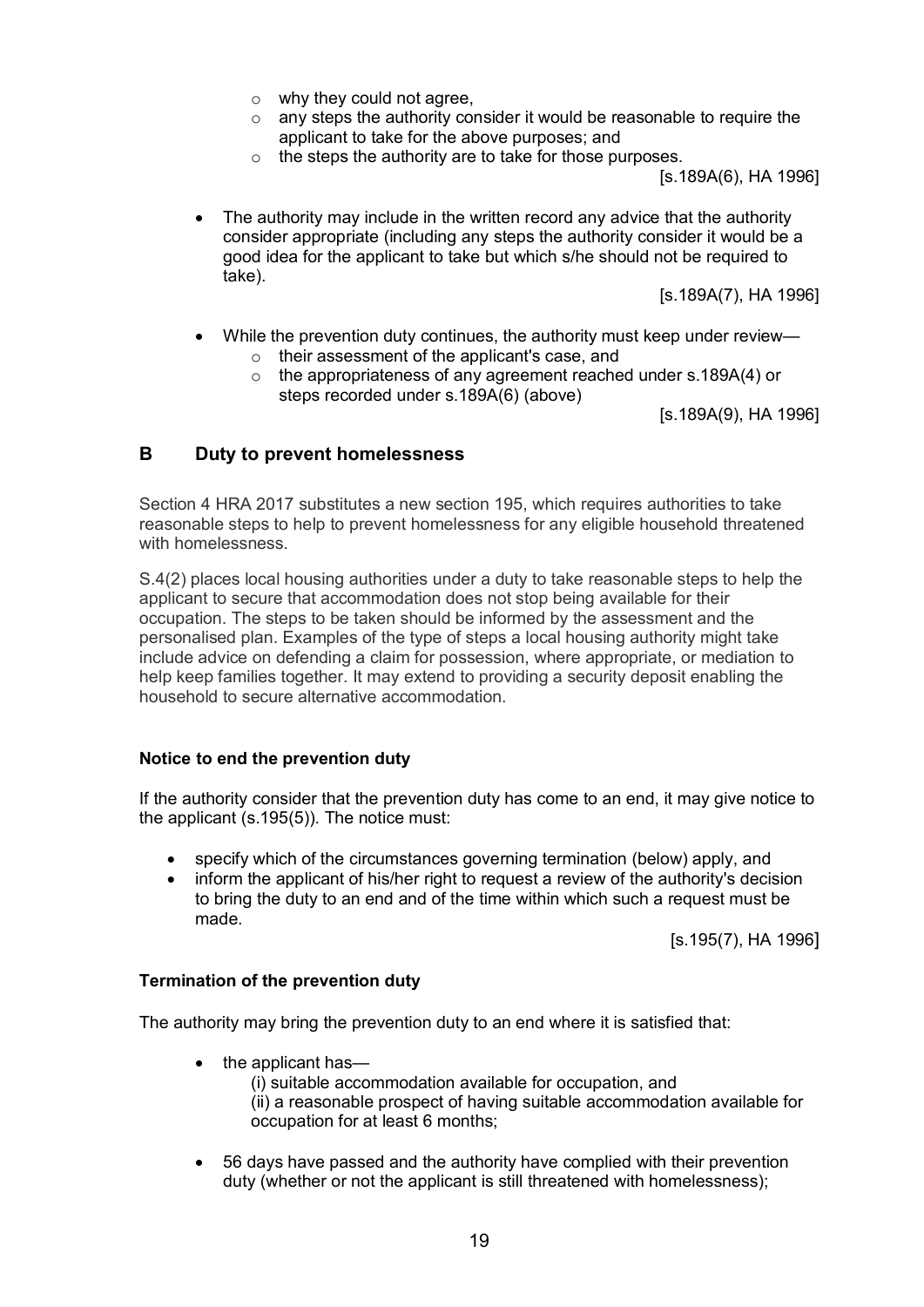- $\circ$  why they could not agree.
- $\circ$  any steps the authority consider it would be reasonable to require the applicant to take for the above purposes; and
- o the steps the authority are to take for those purposes.

[s.189A(6), HA 1996]

 The authority may include in the written record any advice that the authority consider appropriate (including any steps the authority consider it would be a good idea for the applicant to take but which s/he should not be required to take).

[s.189A(7), HA 1996]

- While the prevention duty continues, the authority must keep under review o their assessment of the applicant's case, and
	- o the appropriateness of any agreement reached under s.189A(4) or steps recorded under s.189A(6) (above)

[s.189A(9), HA 1996]

# **B Duty to prevent homelessness**

Section 4 HRA 2017 substitutes a new section 195, which requires authorities to take reasonable steps to help to prevent homelessness for any eligible household threatened with homelessness.

S.4(2) places local housing authorities under a duty to take reasonable steps to help the applicant to secure that accommodation does not stop being available for their occupation. The steps to be taken should be informed by the assessment and the personalised plan. Examples of the type of steps a local housing authority might take include advice on defending a claim for possession, where appropriate, or mediation to help keep families together. It may extend to providing a security deposit enabling the household to secure alternative accommodation.

### **Notice to end the prevention duty**

If the authority consider that the prevention duty has come to an end, it may give notice to the applicant (s.195(5)). The notice must:

- specify which of the circumstances governing termination (below) apply, and
- inform the applicant of his/her right to request a review of the authority's decision to bring the duty to an end and of the time within which such a request must be made.

[s.195(7), HA 1996]

#### **Termination of the prevention duty**

The authority may bring the prevention duty to an end where it is satisfied that:

- the applicant has— (i) suitable accommodation available for occupation, and (ii) a reasonable prospect of having suitable accommodation available for occupation for at least 6 months;
- 56 days have passed and the authority have complied with their prevention duty (whether or not the applicant is still threatened with homelessness);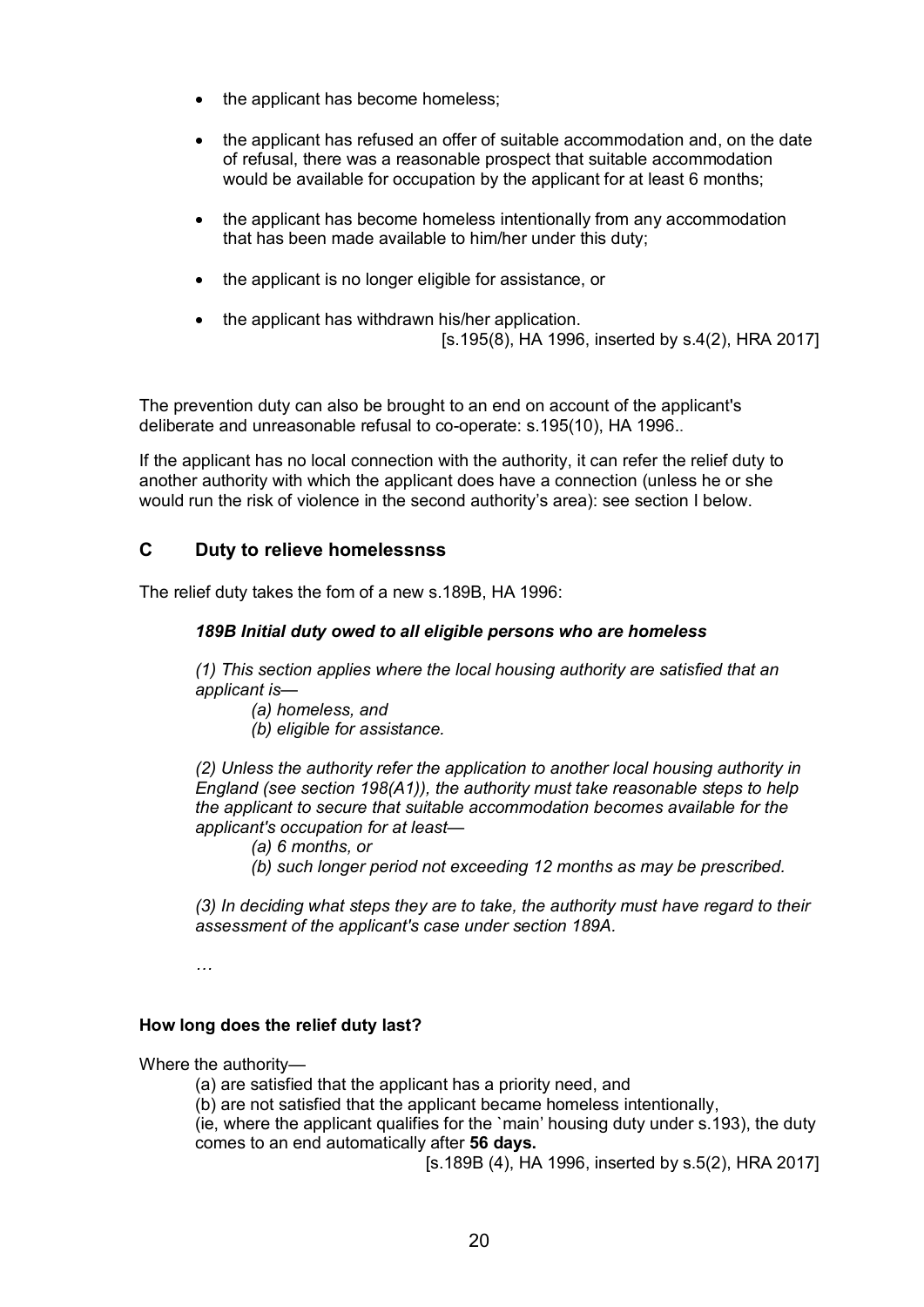- the applicant has become homeless;
- the applicant has refused an offer of suitable accommodation and, on the date of refusal, there was a reasonable prospect that suitable accommodation would be available for occupation by the applicant for at least 6 months;
- the applicant has become homeless intentionally from any accommodation that has been made available to him/her under this duty;
- the applicant is no longer eligible for assistance, or
- the applicant has withdrawn his/her application. [s.195(8), HA 1996, inserted by s.4(2), HRA 2017]

The prevention duty can also be brought to an end on account of the applicant's deliberate and unreasonable refusal to co-operate: s.195(10), HA 1996..

If the applicant has no local connection with the authority, it can refer the relief duty to another authority with which the applicant does have a connection (unless he or she would run the risk of violence in the second authority's area): see section I below.

# **C Duty to relieve homelessnss**

The relief duty takes the fom of a new s.189B, HA 1996:

#### *189B Initial duty owed to all eligible persons who are homeless*

*(1) This section applies where the local housing authority are satisfied that an applicant is—*

*(a) homeless, and (b) eligible for assistance.*

*(2) Unless the authority refer the application to another local housing authority in* 

*England (see section 198(A1)), the authority must take reasonable steps to help the applicant to secure that suitable accommodation becomes available for the applicant's occupation for at least—*

*(a) 6 months, or*

*(b) such longer period not exceeding 12 months as may be prescribed.*

*(3) In deciding what steps they are to take, the authority must have regard to their assessment of the applicant's case under section 189A.*

*…*

### **How long does the relief duty last?**

Where the authority—

(a) are satisfied that the applicant has a priority need, and

(b) are not satisfied that the applicant became homeless intentionally,

(ie, where the applicant qualifies for the `main' housing duty under s.193), the duty comes to an end automatically after **56 days.**

[s.189B (4), HA 1996, inserted by s.5(2), HRA 2017]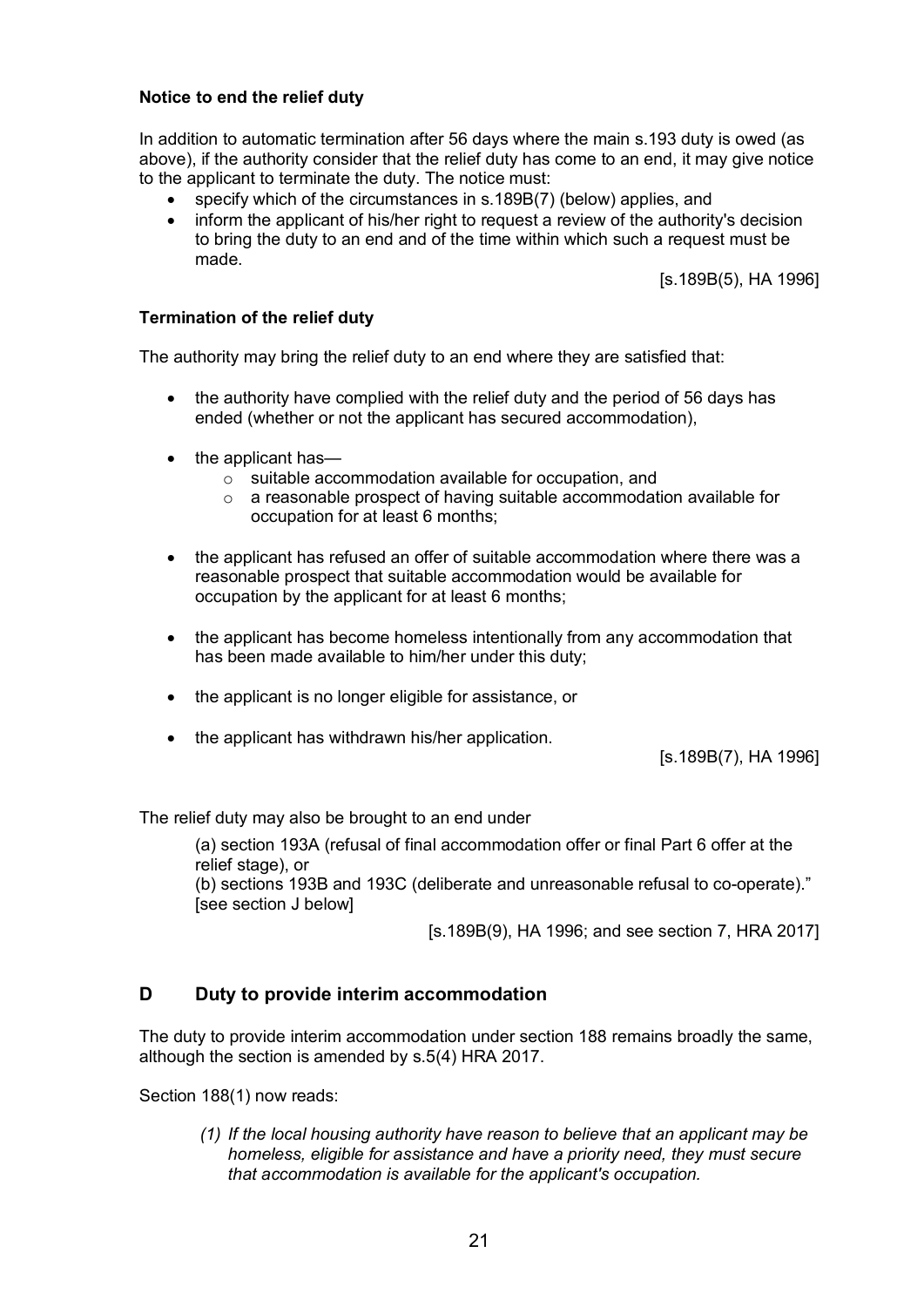### **Notice to end the relief duty**

In addition to automatic termination after 56 days where the main s.193 duty is owed (as above), if the authority consider that the relief duty has come to an end, it may give notice to the applicant to terminate the duty. The notice must:

- specify which of the circumstances in s.189B(7) (below) applies, and
- inform the applicant of his/her right to request a review of the authority's decision to bring the duty to an end and of the time within which such a request must be made.

[s.189B(5), HA 1996]

### **Termination of the relief duty**

The authority may bring the relief duty to an end where they are satisfied that:

- the authority have complied with the relief duty and the period of 56 days has ended (whether or not the applicant has secured accommodation),
- $\bullet$  the applicant has
	- o suitable accommodation available for occupation, and
	- $\circ$  a reasonable prospect of having suitable accommodation available for occupation for at least 6 months;
- the applicant has refused an offer of suitable accommodation where there was a reasonable prospect that suitable accommodation would be available for occupation by the applicant for at least 6 months;
- the applicant has become homeless intentionally from any accommodation that has been made available to him/her under this duty;
- the applicant is no longer eligible for assistance, or
- the applicant has withdrawn his/her application.

[s.189B(7), HA 1996]

The relief duty may also be brought to an end under

(a) section 193A (refusal of final accommodation offer or final Part 6 offer at the relief stage), or

(b) sections 193B and 193C (deliberate and unreasonable refusal to co-operate)." [see section J below]

[s.189B(9), HA 1996; and see section 7, HRA 2017]

# **D Duty to provide interim accommodation**

The duty to provide interim accommodation under section 188 remains broadly the same, although the section is amended by s.5(4) HRA 2017.

Section 188(1) now reads:

*(1) If the local housing authority have reason to believe that an applicant may be homeless, eligible for assistance and have a priority need, they must secure that accommodation is available for the applicant's occupation.*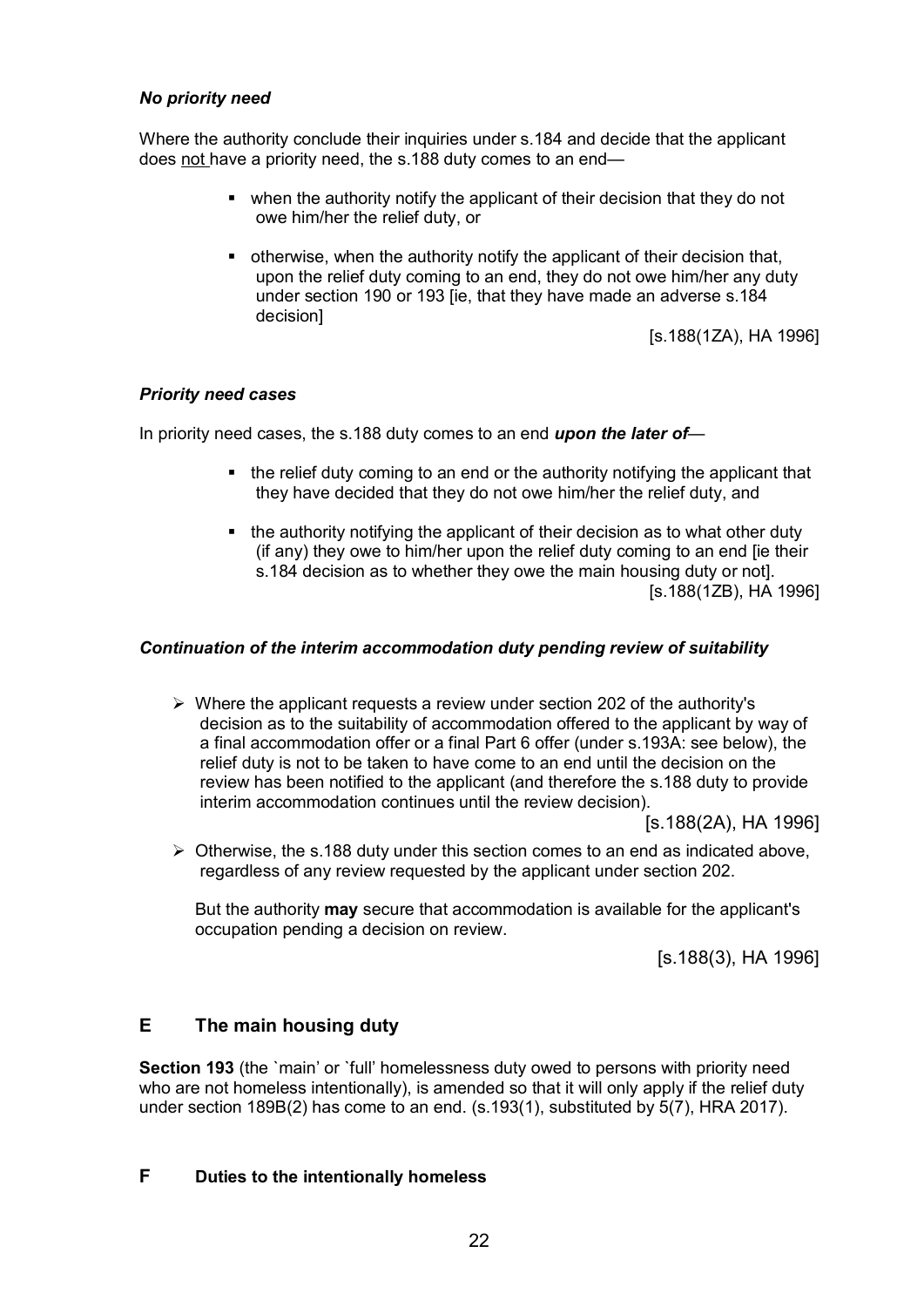## *No priority need*

Where the authority conclude their inquiries under s.184 and decide that the applicant does not have a priority need, the s.188 duty comes to an end—

- when the authority notify the applicant of their decision that they do not owe him/her the relief duty, or
- otherwise, when the authority notify the applicant of their decision that, upon the relief duty coming to an end, they do not owe him/her any duty under section 190 or 193 [ie, that they have made an adverse s.184 decision]

[s.188(1ZA), HA 1996]

# *Priority need cases*

In priority need cases, the s.188 duty comes to an end *upon the later of*—

- the relief duty coming to an end or the authority notifying the applicant that they have decided that they do not owe him/her the relief duty, and
- $\blacksquare$  the authority notifying the applicant of their decision as to what other duty (if any) they owe to him/her upon the relief duty coming to an end [ie their s.184 decision as to whether they owe the main housing duty or not]. [s.188(1ZB), HA 1996]

# *Continuation of the interim accommodation duty pending review of suitability*

 $\triangleright$  Where the applicant requests a review under section 202 of the authority's decision as to the suitability of accommodation offered to the applicant by way of a final accommodation offer or a final Part 6 offer (under s.193A: see below), the relief duty is not to be taken to have come to an end until the decision on the review has been notified to the applicant (and therefore the s.188 duty to provide interim accommodation continues until the review decision).

[s.188(2A), HA 1996]

 $\geq$  Otherwise, the s.188 duty under this section comes to an end as indicated above, regardless of any review requested by the applicant under section 202.

But the authority **may** secure that accommodation is available for the applicant's occupation pending a decision on review.

[s.188(3), HA 1996]

# **E The main housing duty**

**Section 193** (the `main' or `full' homelessness duty owed to persons with priority need who are not homeless intentionally), is amended so that it will only apply if the relief duty under section 189B(2) has come to an end. (s.193(1), substituted by 5(7), HRA 2017).

# **F Duties to the intentionally homeless**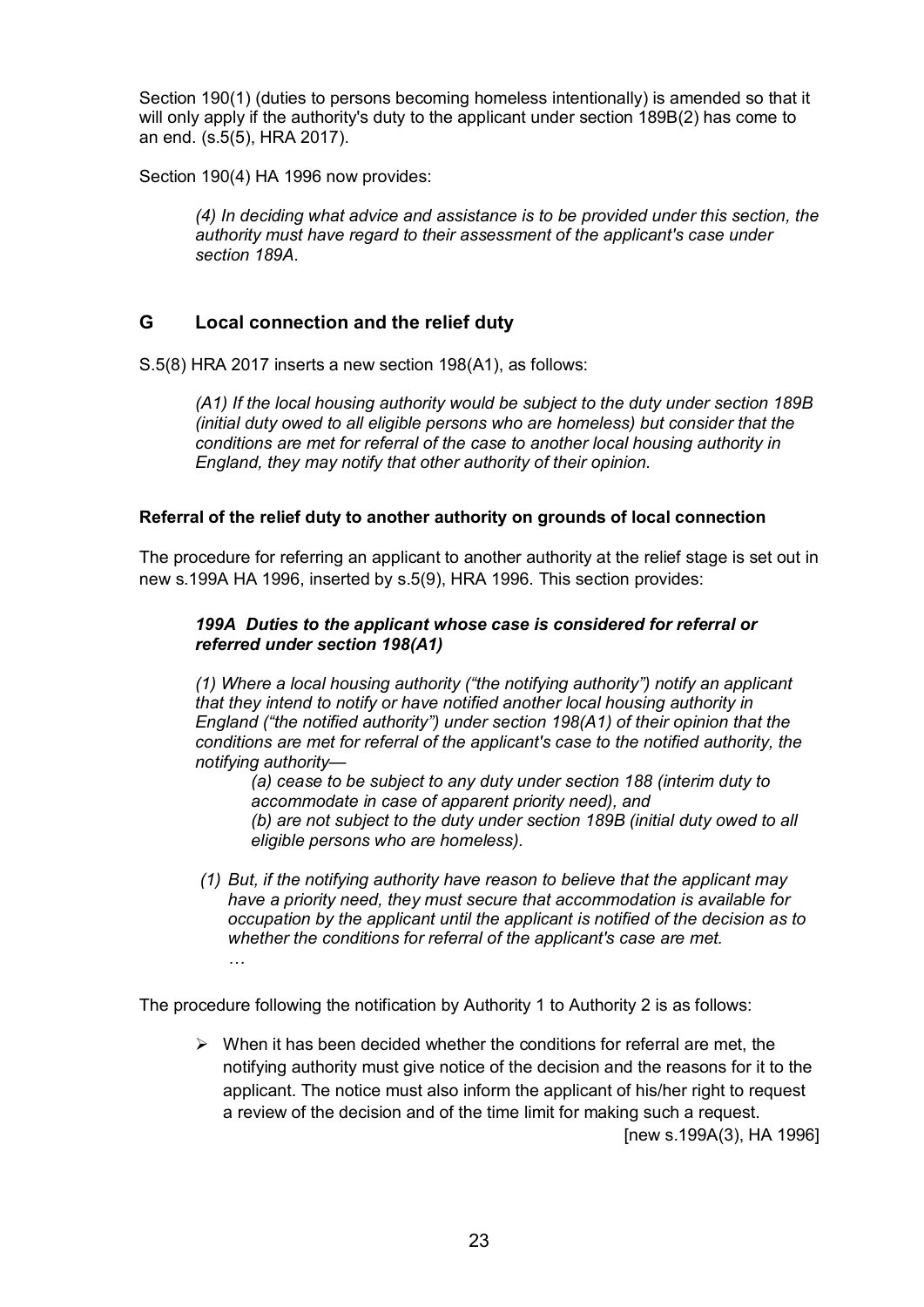Section 190(1) (duties to persons becoming homeless intentionally) is amended so that it will only apply if the authority's duty to the applicant under section 189B(2) has come to an end. (s.5(5), HRA 2017).

Section 190(4) HA 1996 now provides:

*(4) In deciding what advice and assistance is to be provided under this section, the authority must have regard to their assessment of the applicant's case under section 189A.*

# **G Local connection and the relief duty**

S.5(8) HRA 2017 inserts a new section 198(A1), as follows:

*(A1) If the local housing authority would be subject to the duty under section 189B (initial duty owed to all eligible persons who are homeless) but consider that the conditions are met for referral of the case to another local housing authority in England, they may notify that other authority of their opinion.*

### **Referral of the relief duty to another authority on grounds of local connection**

The procedure for referring an applicant to another authority at the relief stage is set out in new s.199A HA 1996, inserted by s.5(9), HRA 1996. This section provides:

## *199A Duties to the applicant whose case is considered for referral or referred under section 198(A1)*

*(1) Where a local housing authority ("the notifying authority") notify an applicant that they intend to notify or have notified another local housing authority in England ("the notified authority") under section 198(A1) of their opinion that the conditions are met for referral of the applicant's case to the notified authority, the notifying authority—*

*(a) cease to be subject to any duty under section 188 (interim duty to accommodate in case of apparent priority need), and (b) are not subject to the duty under section 189B (initial duty owed to all eligible persons who are homeless).*

*(1) But, if the notifying authority have reason to believe that the applicant may have a priority need, they must secure that accommodation is available for occupation by the applicant until the applicant is notified of the decision as to whether the conditions for referral of the applicant's case are met. …*

The procedure following the notification by Authority 1 to Authority 2 is as follows:

 $\triangleright$  When it has been decided whether the conditions for referral are met, the notifying authority must give notice of the decision and the reasons for it to the applicant. The notice must also inform the applicant of his/her right to request a review of the decision and of the time limit for making such a request. [new s.199A(3), HA 1996]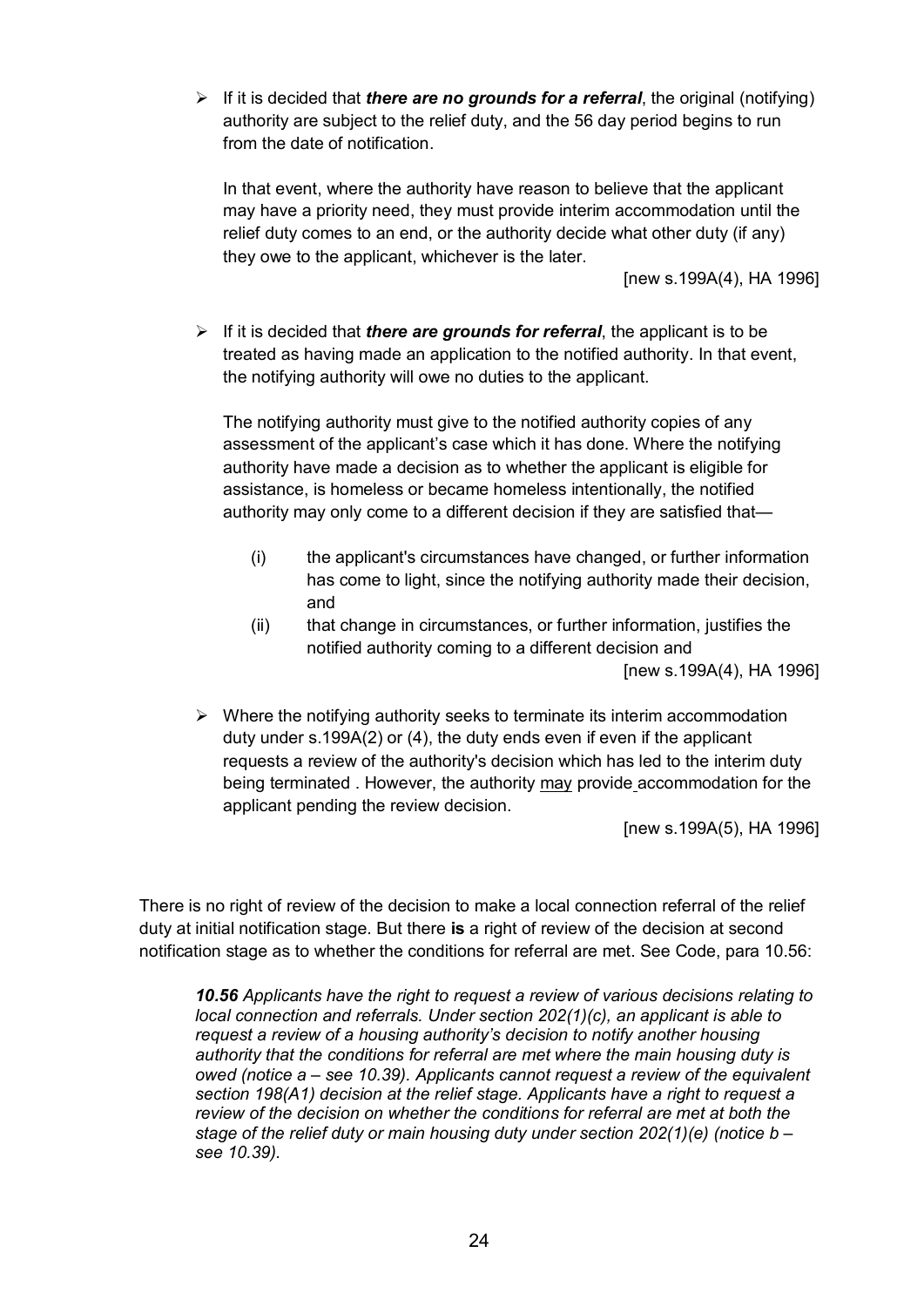If it is decided that *there are no grounds for a referral*, the original (notifying) authority are subject to the relief duty, and the 56 day period begins to run from the date of notification.

In that event, where the authority have reason to believe that the applicant may have a priority need, they must provide interim accommodation until the relief duty comes to an end, or the authority decide what other duty (if any) they owe to the applicant, whichever is the later.

[new s.199A(4), HA 1996]

 $\triangleright$  If it is decided that *there are grounds for referral*, the applicant is to be treated as having made an application to the notified authority. In that event, the notifying authority will owe no duties to the applicant.

The notifying authority must give to the notified authority copies of any assessment of the applicant's case which it has done. Where the notifying authority have made a decision as to whether the applicant is eligible for assistance, is homeless or became homeless intentionally, the notified authority may only come to a different decision if they are satisfied that—

- (i) the applicant's circumstances have changed, or further information has come to light, since the notifying authority made their decision, and
- (ii) that change in circumstances, or further information, justifies the notified authority coming to a different decision and

[new s.199A(4), HA 1996]

 $\triangleright$  Where the notifying authority seeks to terminate its interim accommodation duty under s.199A(2) or (4), the duty ends even if even if the applicant requests a review of the authority's decision which has led to the interim duty being terminated . However, the authority may provide accommodation for the applicant pending the review decision.

[new s.199A(5), HA 1996]

There is no right of review of the decision to make a local connection referral of the relief duty at initial notification stage. But there **is** a right of review of the decision at second notification stage as to whether the conditions for referral are met. See Code, para 10.56:

*10.56 Applicants have the right to request a review of various decisions relating to local connection and referrals. Under section 202(1)(c), an applicant is able to request a review of a housing authority's decision to notify another housing authority that the conditions for referral are met where the main housing duty is owed (notice a – see 10.39). Applicants cannot request a review of the equivalent section 198(A1) decision at the relief stage. Applicants have a right to request a review of the decision on whether the conditions for referral are met at both the stage of the relief duty or main housing duty under section 202(1)(e) (notice b – see 10.39).*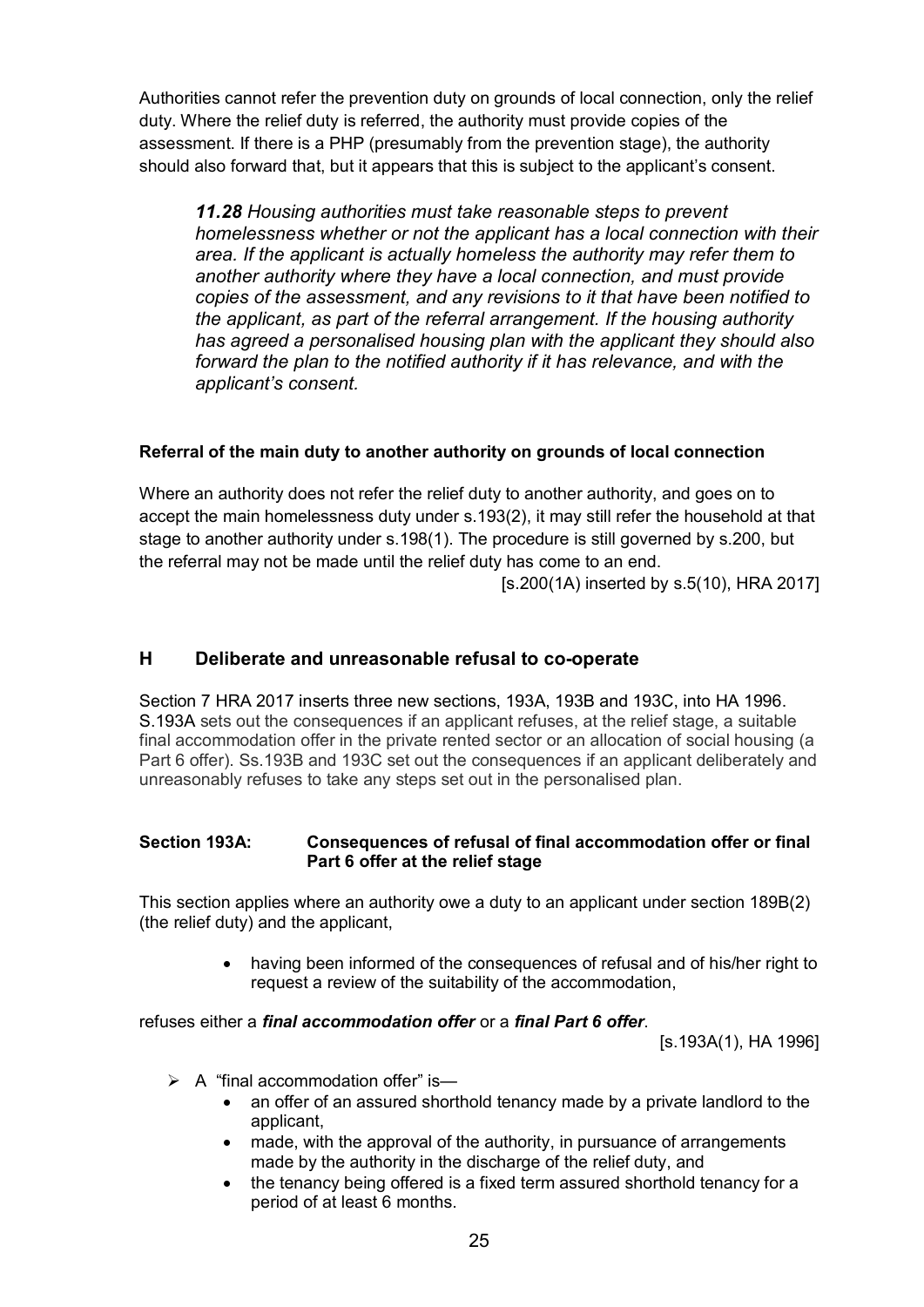Authorities cannot refer the prevention duty on grounds of local connection, only the relief duty. Where the relief duty is referred, the authority must provide copies of the assessment. If there is a PHP (presumably from the prevention stage), the authority should also forward that, but it appears that this is subject to the applicant's consent.

*11.28 Housing authorities must take reasonable steps to prevent homelessness whether or not the applicant has a local connection with their area. If the applicant is actually homeless the authority may refer them to another authority where they have a local connection, and must provide copies of the assessment, and any revisions to it that have been notified to the applicant, as part of the referral arrangement. If the housing authority has agreed a personalised housing plan with the applicant they should also forward the plan to the notified authority if it has relevance, and with the applicant's consent.* 

# **Referral of the main duty to another authority on grounds of local connection**

Where an authority does not refer the relief duty to another authority, and goes on to accept the main homelessness duty under s.193(2), it may still refer the household at that stage to another authority under s.198(1). The procedure is still governed by s.200, but the referral may not be made until the relief duty has come to an end.

[s.200(1A) inserted by s.5(10), HRA 2017]

# **H Deliberate and unreasonable refusal to co-operate**

Section 7 HRA 2017 inserts three new sections, 193A, 193B and 193C, into HA 1996. S.193A sets out the consequences if an applicant refuses, at the relief stage, a suitable final accommodation offer in the private rented sector or an allocation of social housing (a Part 6 offer). Ss.193B and 193C set out the consequences if an applicant deliberately and unreasonably refuses to take any steps set out in the personalised plan.

### **Section 193A: Consequences of refusal of final accommodation offer or final Part 6 offer at the relief stage**

This section applies where an authority owe a duty to an applicant under section 189B(2) (the relief duty) and the applicant,

> • having been informed of the consequences of refusal and of his/her right to request a review of the suitability of the accommodation,

### refuses either a *final accommodation offer* or a *final Part 6 offer*.

[s.193A(1), HA 1996]

- $\triangleright$  A "final accommodation offer" is
	- an offer of an assured shorthold tenancy made by a private landlord to the applicant,
	- made, with the approval of the authority, in pursuance of arrangements made by the authority in the discharge of the relief duty, and
	- the tenancy being offered is a fixed term assured shorthold tenancy for a period of at least 6 months.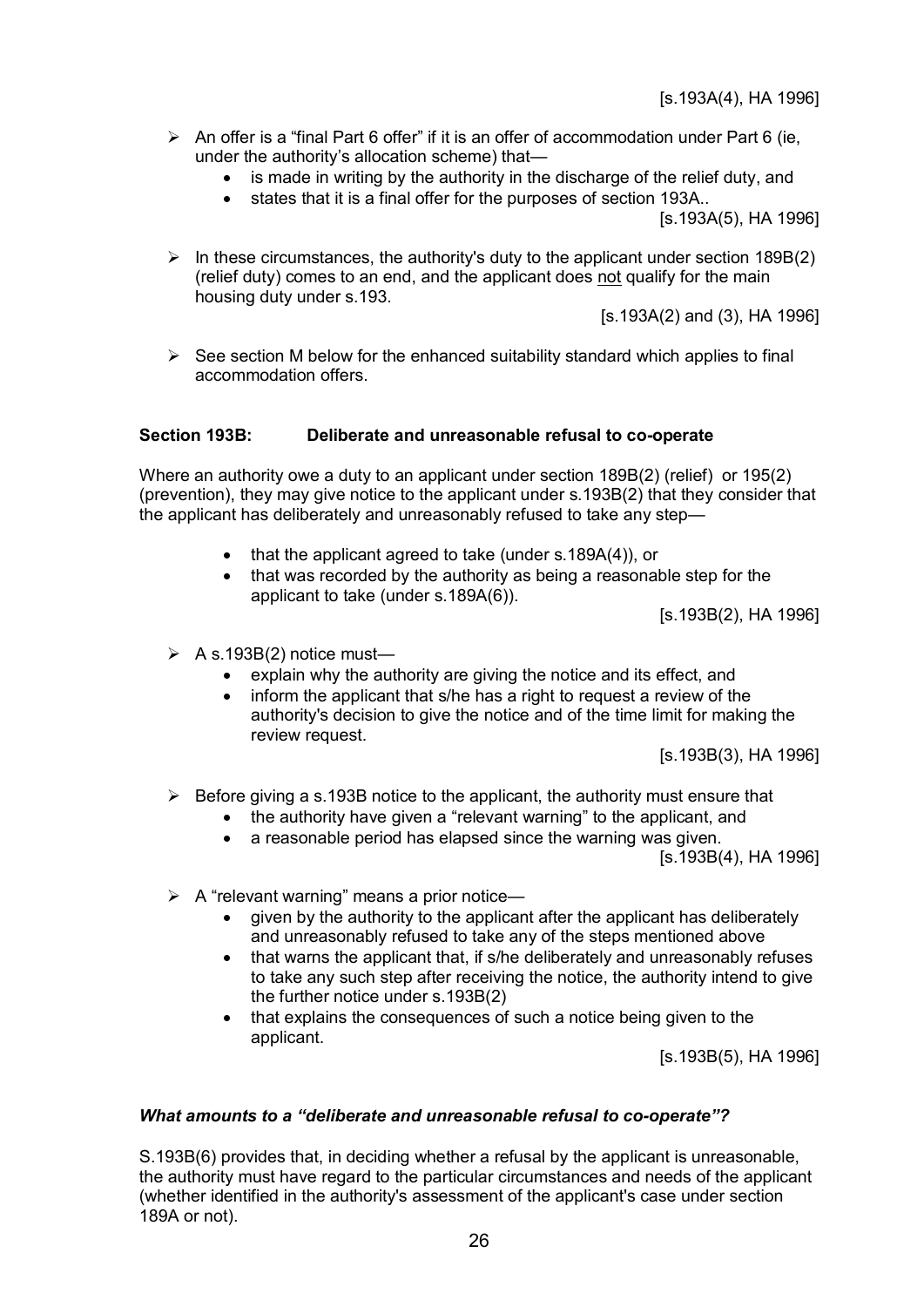- $\triangleright$  An offer is a "final Part 6 offer" if it is an offer of accommodation under Part 6 (ie, under the authority's allocation scheme) that—
	- is made in writing by the authority in the discharge of the relief duty, and
	- states that it is a final offer for the purposes of section 193A..

[s.193A(5), HA 1996]

 $\triangleright$  In these circumstances, the authority's duty to the applicant under section 189B(2) (relief duty) comes to an end, and the applicant does not qualify for the main housing duty under s.193.

[s.193A(2) and (3), HA 1996]

 $\triangleright$  See section M below for the enhanced suitability standard which applies to final accommodation offers.

### **Section 193B: Deliberate and unreasonable refusal to co-operate**

Where an authority owe a duty to an applicant under section 189B(2) (relief) or 195(2) (prevention), they may give notice to the applicant under s.193B(2) that they consider that the applicant has deliberately and unreasonably refused to take any step—

- that the applicant agreed to take (under s.189A(4)), or
- that was recorded by the authority as being a reasonable step for the applicant to take (under s.189A(6)).

[s.193B(2), HA 1996]

- $\triangleright$  A s.193B(2) notice must
	- explain why the authority are giving the notice and its effect, and
	- inform the applicant that s/he has a right to request a review of the authority's decision to give the notice and of the time limit for making the review request.

[s.193B(3), HA 1996]

- $\triangleright$  Before giving a s.193B notice to the applicant, the authority must ensure that
	- the authority have given a "relevant warning" to the applicant, and
	- a reasonable period has elapsed since the warning was given.

[s.193B(4), HA 1996]

- $\triangleright$  A "relevant warning" means a prior notice—
	- given by the authority to the applicant after the applicant has deliberately and unreasonably refused to take any of the steps mentioned above
	- that warns the applicant that, if s/he deliberately and unreasonably refuses to take any such step after receiving the notice, the authority intend to give the further notice under s.193B(2)
	- that explains the consequences of such a notice being given to the applicant.

[s.193B(5), HA 1996]

#### *What amounts to a "deliberate and unreasonable refusal to co-operate"?*

S.193B(6) provides that, in deciding whether a refusal by the applicant is unreasonable, the authority must have regard to the particular circumstances and needs of the applicant (whether identified in the authority's assessment of the applicant's case under section 189A or not).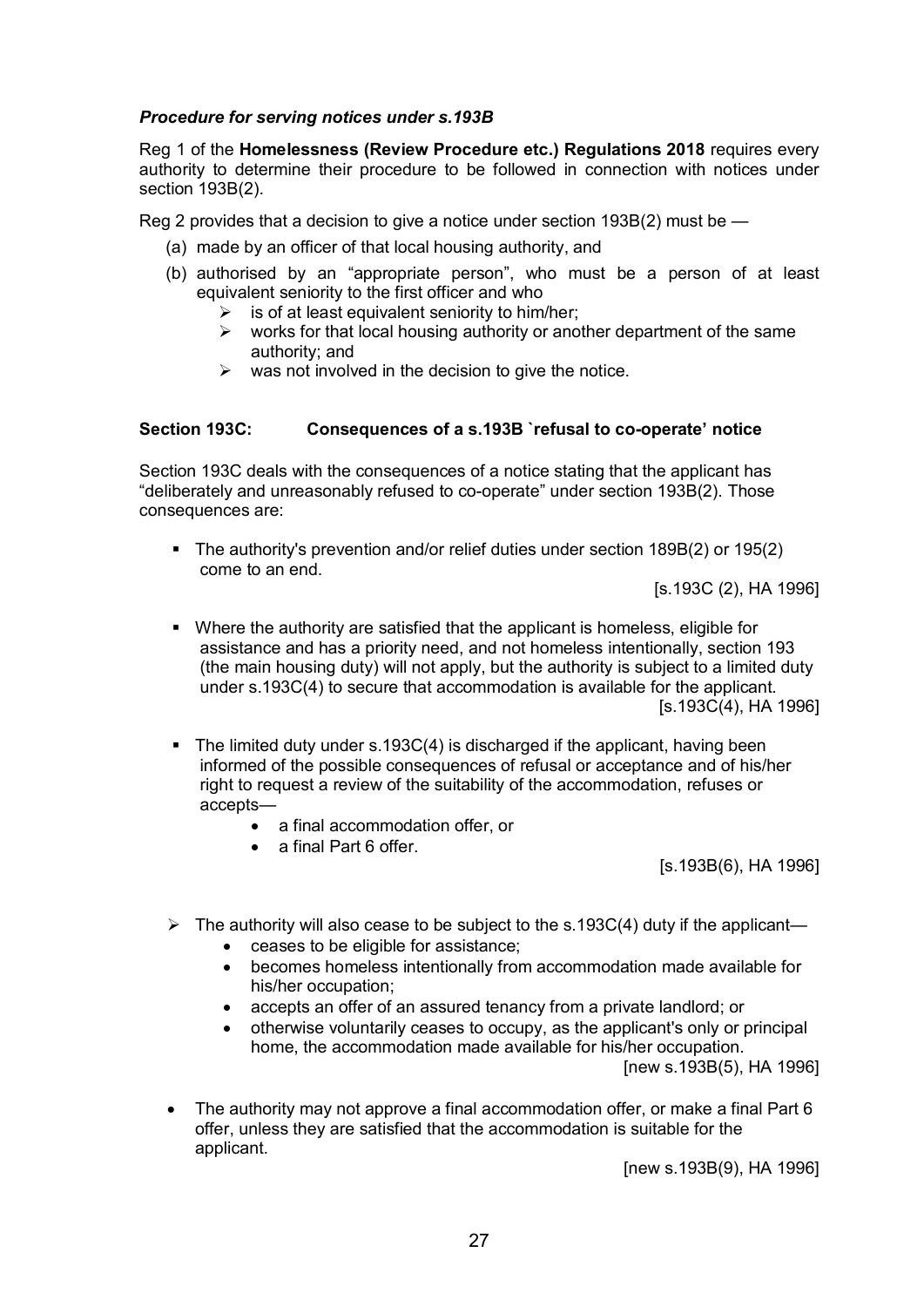### *Procedure for serving notices under s.193B*

Reg 1 of the **Homelessness (Review Procedure etc.) Regulations 2018** requires every authority to determine their procedure to be followed in connection with notices under section 193B(2).

Reg 2 provides that a decision to give a notice under section 193B(2) must be —

- (a) made by an officer of that local housing authority, and
- (b) authorised by an "appropriate person", who must be a person of at least equivalent seniority to the first officer and who
	- $\triangleright$  is of at least equivalent seniority to him/her;
	- $\triangleright$  works for that local housing authority or another department of the same authority; and
	- $\triangleright$  was not involved in the decision to give the notice.

### **Section 193C: Consequences of a s.193B `refusal to co-operate' notice**

Section 193C deals with the consequences of a notice stating that the applicant has "deliberately and unreasonably refused to co-operate" under section 193B(2). Those consequences are:

 The authority's prevention and/or relief duties under section 189B(2) or 195(2) come to an end.

[s.193C (2), HA 1996]

- Where the authority are satisfied that the applicant is homeless, eligible for assistance and has a priority need, and not homeless intentionally, section 193 (the main housing duty) will not apply, but the authority is subject to a limited duty under s.193C(4) to secure that accommodation is available for the applicant. [s.193C(4), HA 1996]
- The limited duty under s.193C(4) is discharged if the applicant, having been informed of the possible consequences of refusal or acceptance and of his/her right to request a review of the suitability of the accommodation, refuses or accepts
	- a final accommodation offer, or
	- a final Part 6 offer.

[s.193B(6), HA 1996]

- $\triangleright$  The authority will also cease to be subject to the s.193C(4) duty if the applicant—
	- ceases to be eligible for assistance;
	- becomes homeless intentionally from accommodation made available for his/her occupation;
	- accepts an offer of an assured tenancy from a private landlord; or
	- otherwise voluntarily ceases to occupy, as the applicant's only or principal home, the accommodation made available for his/her occupation.

[new s.193B(5), HA 1996]

• The authority may not approve a final accommodation offer, or make a final Part 6 offer, unless they are satisfied that the accommodation is suitable for the applicant.

[new s.193B(9), HA 1996]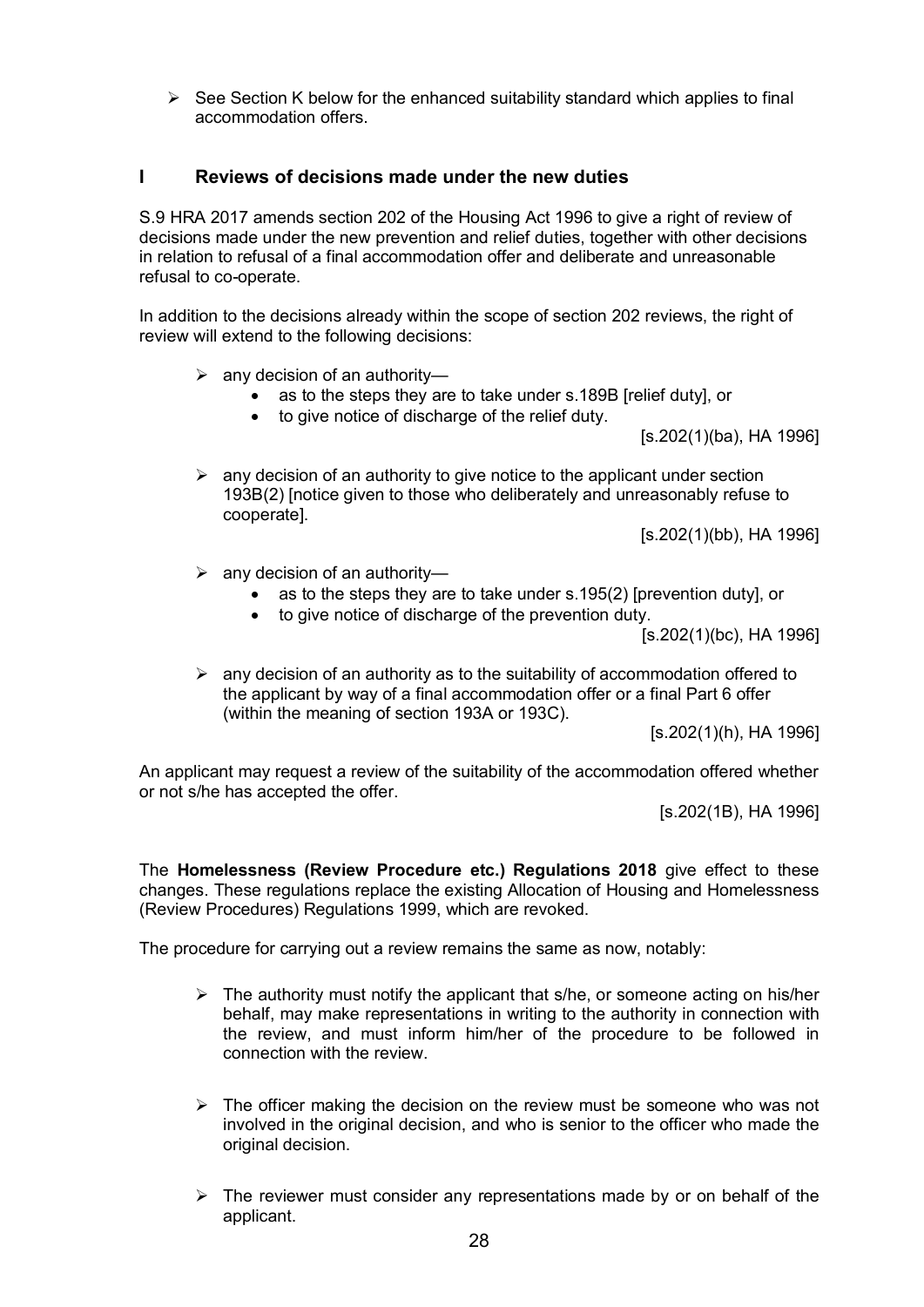$\triangleright$  See Section K below for the enhanced suitability standard which applies to final accommodation offers.

# **I Reviews of decisions made under the new duties**

S.9 HRA 2017 amends section 202 of the Housing Act 1996 to give a right of review of decisions made under the new prevention and relief duties, together with other decisions in relation to refusal of a final accommodation offer and deliberate and unreasonable refusal to co-operate.

In addition to the decisions already within the scope of section 202 reviews, the right of review will extend to the following decisions:

- $\triangleright$  any decision of an authority
	- as to the steps they are to take under s.189B [relief duty], or
	- to give notice of discharge of the relief duty.

[s.202(1)(ba), HA 1996]

 $\triangleright$  any decision of an authority to give notice to the applicant under section 193B(2) [notice given to those who deliberately and unreasonably refuse to cooperate].

[s.202(1)(bb), HA 1996]

- $\triangleright$  any decision of an authority-
	- $\bullet$  as to the steps they are to take under s.195(2) [prevention duty], or
	- to give notice of discharge of the prevention duty.

[s.202(1)(bc), HA 1996]

 $\triangleright$  any decision of an authority as to the suitability of accommodation offered to the applicant by way of a final accommodation offer or a final Part 6 offer (within the meaning of section 193A or 193C).

[s.202(1)(h), HA 1996]

An applicant may request a review of the suitability of the accommodation offered whether or not s/he has accepted the offer.

[s.202(1B), HA 1996]

The **Homelessness (Review Procedure etc.) Regulations 2018** give effect to these changes. These regulations replace the existing Allocation of Housing and Homelessness (Review Procedures) Regulations 1999, which are revoked.

The procedure for carrying out a review remains the same as now, notably:

- $\triangleright$  The authority must notify the applicant that s/he, or someone acting on his/her behalf, may make representations in writing to the authority in connection with the review, and must inform him/her of the procedure to be followed in connection with the review.
- $\triangleright$  The officer making the decision on the review must be someone who was not involved in the original decision, and who is senior to the officer who made the original decision.
- $\triangleright$  The reviewer must consider any representations made by or on behalf of the applicant.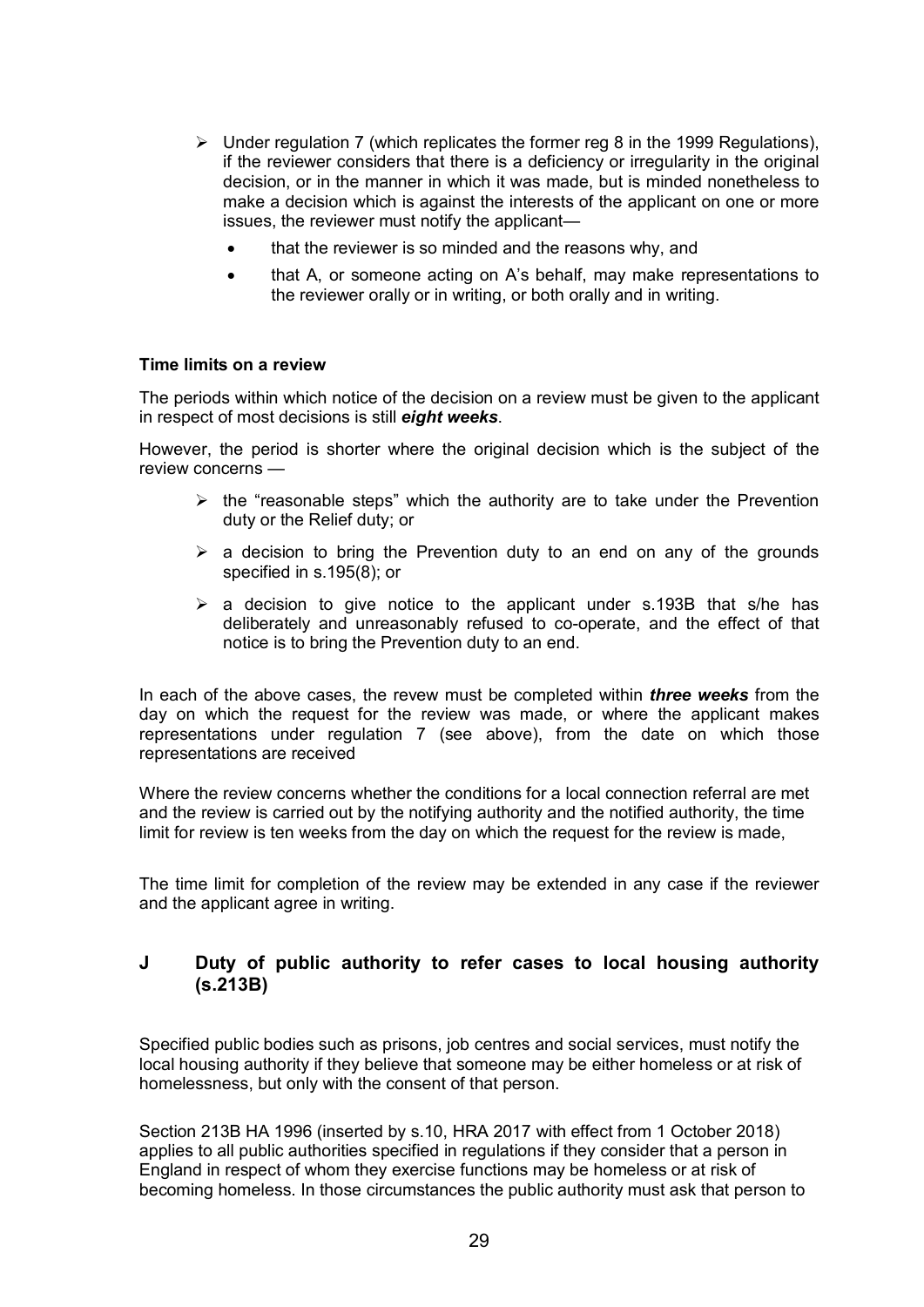- $\triangleright$  Under regulation 7 (which replicates the former reg 8 in the 1999 Regulations), if the reviewer considers that there is a deficiency or irregularity in the original decision, or in the manner in which it was made, but is minded nonetheless to make a decision which is against the interests of the applicant on one or more issues, the reviewer must notify the applicant
	- that the reviewer is so minded and the reasons why, and
	- that A, or someone acting on A's behalf, may make representations to the reviewer orally or in writing, or both orally and in writing.

#### **Time limits on a review**

The periods within which notice of the decision on a review must be given to the applicant in respect of most decisions is still *eight weeks*.

However, the period is shorter where the original decision which is the subject of the review concerns —

- $\triangleright$  the "reasonable steps" which the authority are to take under the Prevention duty or the Relief duty; or
- $\triangleright$  a decision to bring the Prevention duty to an end on any of the grounds specified in s.195(8); or
- $\geq$  a decision to give notice to the applicant under s.193B that s/he has deliberately and unreasonably refused to co-operate, and the effect of that notice is to bring the Prevention duty to an end.

In each of the above cases, the revew must be completed within *three weeks* from the day on which the request for the review was made, or where the applicant makes representations under regulation 7 (see above), from the date on which those representations are received

Where the review concerns whether the conditions for a local connection referral are met and the review is carried out by the notifying authority and the notified authority, the time limit for review is ten weeks from the day on which the request for the review is made,

The time limit for completion of the review may be extended in any case if the reviewer and the applicant agree in writing.

# **J Duty of public authority to refer cases to local housing authority (s.213B)**

Specified public bodies such as prisons, job centres and social services, must notify the local housing authority if they believe that someone may be either homeless or at risk of homelessness, but only with the consent of that person.

Section 213B HA 1996 (inserted by s.10, HRA 2017 with effect from 1 October 2018) applies to all public authorities specified in regulations if they consider that a person in England in respect of whom they exercise functions may be homeless or at risk of becoming homeless. In those circumstances the public authority must ask that person to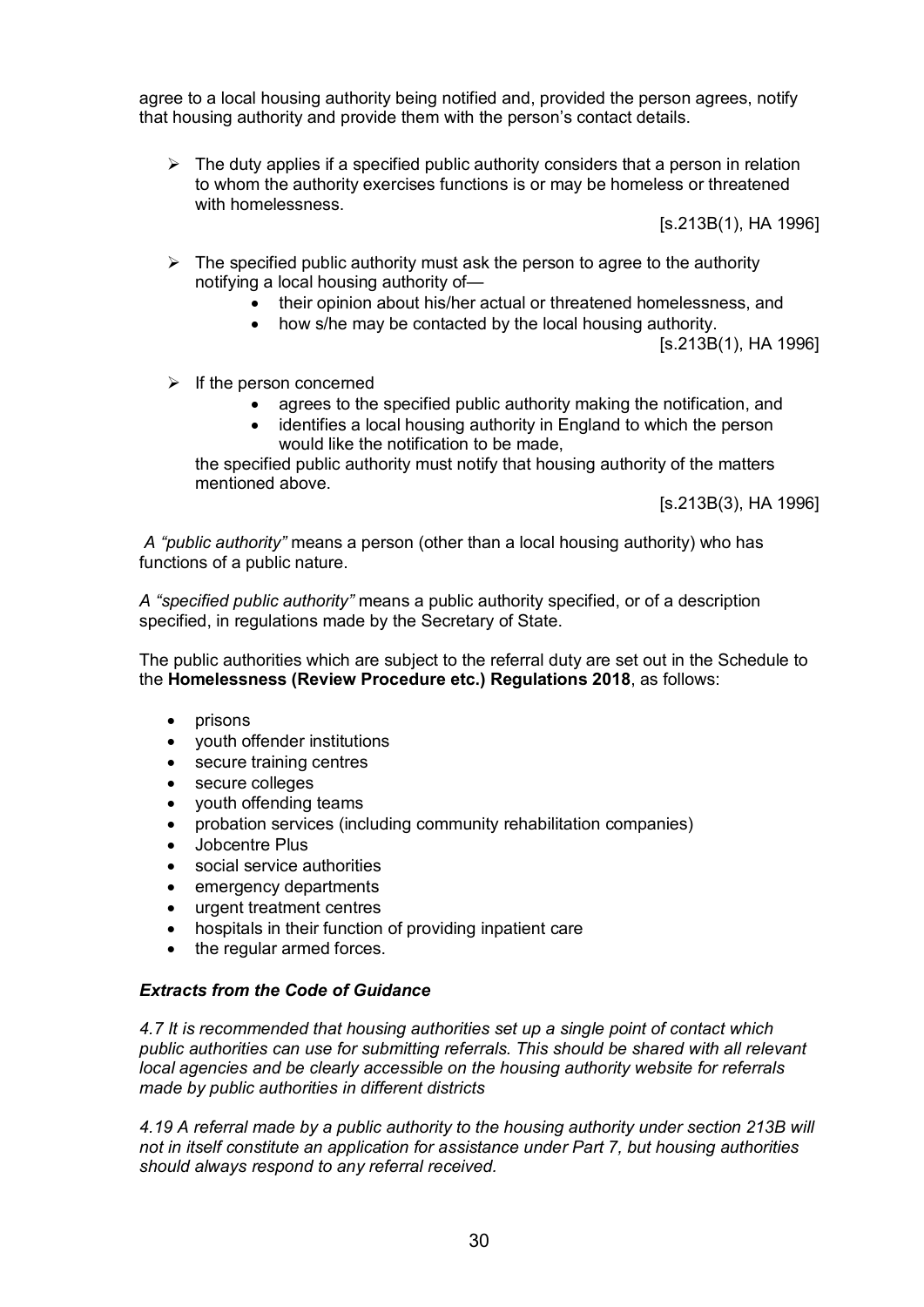agree to a local housing authority being notified and, provided the person agrees, notify that housing authority and provide them with the person's contact details.

 $\triangleright$  The duty applies if a specified public authority considers that a person in relation to whom the authority exercises functions is or may be homeless or threatened with homelessness.

[s.213B(1), HA 1996]

- $\triangleright$  The specified public authority must ask the person to agree to the authority notifying a local housing authority of—
	- their opinion about his/her actual or threatened homelessness, and
	- how s/he may be contacted by the local housing authority.

[s.213B(1), HA 1996]

- $\triangleright$  If the person concerned
	- agrees to the specified public authority making the notification, and
	- identifies a local housing authority in England to which the person would like the notification to be made,

the specified public authority must notify that housing authority of the matters mentioned above.

[s.213B(3), HA 1996]

*A "public authority"* means a person (other than a local housing authority) who has functions of a public nature.

*A "specified public authority"* means a public authority specified, or of a description specified, in regulations made by the Secretary of State.

The public authorities which are subject to the referral duty are set out in the Schedule to the **Homelessness (Review Procedure etc.) Regulations 2018**, as follows:

- prisons
- vouth offender institutions
- secure training centres
- secure colleges
- youth offending teams
- probation services (including community rehabilitation companies)
- Jobcentre Plus
- social service authorities
- emergency departments
- urgent treatment centres
- hospitals in their function of providing inpatient care
- the regular armed forces.

#### *Extracts from the Code of Guidance*

*4.7 It is recommended that housing authorities set up a single point of contact which public authorities can use for submitting referrals. This should be shared with all relevant local agencies and be clearly accessible on the housing authority website for referrals made by public authorities in different districts* 

*4.19 A referral made by a public authority to the housing authority under section 213B will not in itself constitute an application for assistance under Part 7, but housing authorities should always respond to any referral received.*